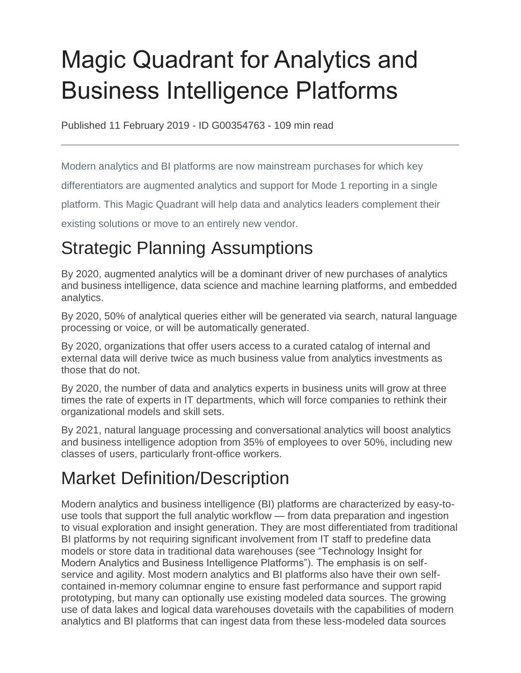# Magic Quadrant for Analytics and Business Intelligence Platforms

Published 11 February 2019 - ID G00354763 - 109 min read

Modern analytics and BI platforms are now mainstream purchases for which key

differentiators are augmented analytics and support for Mode 1 reporting in a single

platform. This Magic Quadrant will help data and analytics leaders complement their

existing solutions or move to an entirely new vendor.

## Strategic Planning Assumptions

By 2020, augmented analytics will be a dominant driver of new purchases of analytics and business intelligence, data science and machine learning platforms, and embedded analytics.

By 2020, 50% of analytical queries either will be generated via search, natural language processing or voice, or will be automatically generated.

By 2020, organizations that offer users access to a curated catalog of internal and external data will derive twice as much business value from analytics investments as those that do not.

By 2020, the number of data and analytics experts in business units will grow at three times the rate of experts in IT departments, which will force companies to rethink their organizational models and skill sets.

By 2021, natural language processing and conversational analytics will boost analytics and business intelligence adoption from 35% of employees to over 50%, including new classes of users, particularly front-office workers.

## Market Definition/Description

Modern analytics and business intelligence (BI) platforms are characterized by easy-touse tools that support the full analytic workflow — from data preparation and ingestion to visual exploration and insight generation. They are most differentiated from traditional BI platforms by not requiring significant involvement from IT staff to predefine data models or store data in traditional data warehouses (see "Technology Insight for Modern Analytics and Business Intelligence Platforms"). The emphasis is on selfservice and agility. Most modern analytics and BI platforms also have their own selfcontained in-memory columnar engine to ensure fast performance and support rapid prototyping, but many can optionally use existing modeled data sources. The growing use of data lakes and logical data warehouses dovetails with the capabilities of modern analytics and BI platforms that can ingest data from these less-modeled data sources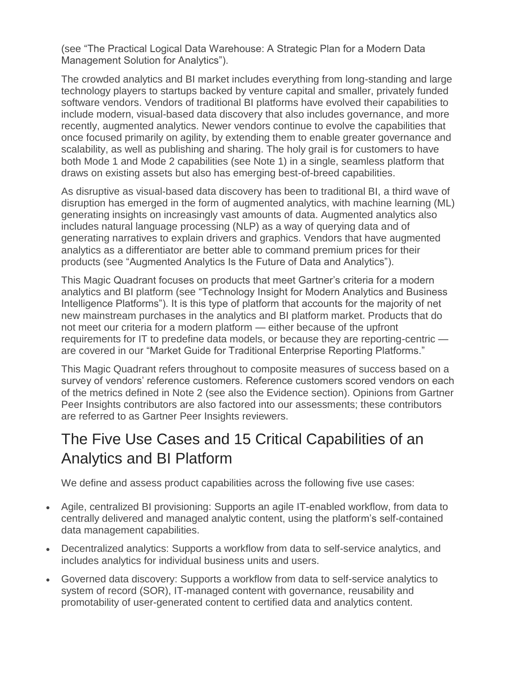(see "The Practical Logical Data Warehouse: A Strategic Plan for a Modern Data Management Solution for Analytics").

The crowded analytics and BI market includes everything from long-standing and large technology players to startups backed by venture capital and smaller, privately funded software vendors. Vendors of traditional BI platforms have evolved their capabilities to include modern, visual-based data discovery that also includes governance, and more recently, augmented analytics. Newer vendors continue to evolve the capabilities that once focused primarily on agility, by extending them to enable greater governance and scalability, as well as publishing and sharing. The holy grail is for customers to have both Mode 1 and Mode 2 capabilities (see Note 1) in a single, seamless platform that draws on existing assets but also has emerging best-of-breed capabilities.

As disruptive as visual-based data discovery has been to traditional BI, a third wave of disruption has emerged in the form of augmented analytics, with machine learning (ML) generating insights on increasingly vast amounts of data. Augmented analytics also includes natural language processing (NLP) as a way of querying data and of generating narratives to explain drivers and graphics. Vendors that have augmented analytics as a differentiator are better able to command premium prices for their products (see "Augmented Analytics Is the Future of Data and Analytics").

This Magic Quadrant focuses on products that meet Gartner's criteria for a modern analytics and BI platform (see "Technology Insight for Modern Analytics and Business Intelligence Platforms"). It is this type of platform that accounts for the majority of net new mainstream purchases in the analytics and BI platform market. Products that do not meet our criteria for a modern platform — either because of the upfront requirements for IT to predefine data models, or because they are reporting-centric are covered in our "Market Guide for Traditional Enterprise Reporting Platforms."

This Magic Quadrant refers throughout to composite measures of success based on a survey of vendors' reference customers. Reference customers scored vendors on each of the metrics defined in Note 2 (see also the Evidence section). Opinions from Gartner Peer Insights contributors are also factored into our assessments; these contributors are referred to as Gartner Peer Insights reviewers.

## The Five Use Cases and 15 Critical Capabilities of an Analytics and BI Platform

We define and assess product capabilities across the following five use cases:

- Agile, centralized BI provisioning: Supports an agile IT-enabled workflow, from data to centrally delivered and managed analytic content, using the platform's self-contained data management capabilities.
- Decentralized analytics: Supports a workflow from data to self-service analytics, and includes analytics for individual business units and users.
- Governed data discovery: Supports a workflow from data to self-service analytics to system of record (SOR), IT-managed content with governance, reusability and promotability of user-generated content to certified data and analytics content.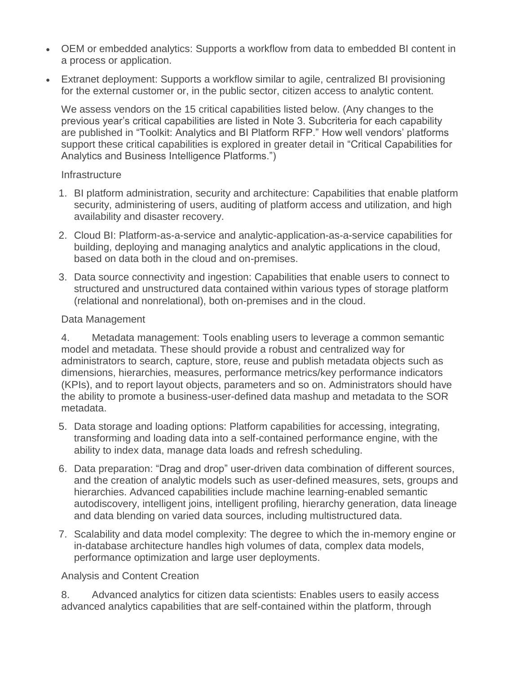- OEM or embedded analytics: Supports a workflow from data to embedded BI content in a process or application.
- Extranet deployment: Supports a workflow similar to agile, centralized BI provisioning for the external customer or, in the public sector, citizen access to analytic content.

We assess vendors on the 15 critical capabilities listed below. (Any changes to the previous year's critical capabilities are listed in Note 3. Subcriteria for each capability are published in "Toolkit: Analytics and BI Platform RFP." How well vendors' platforms support these critical capabilities is explored in greater detail in "Critical Capabilities for Analytics and Business Intelligence Platforms.")

#### **Infrastructure**

- 1. BI platform administration, security and architecture: Capabilities that enable platform security, administering of users, auditing of platform access and utilization, and high availability and disaster recovery.
- 2. Cloud BI: Platform-as-a-service and analytic-application-as-a-service capabilities for building, deploying and managing analytics and analytic applications in the cloud, based on data both in the cloud and on-premises.
- 3. Data source connectivity and ingestion: Capabilities that enable users to connect to structured and unstructured data contained within various types of storage platform (relational and nonrelational), both on-premises and in the cloud.

#### Data Management

4. Metadata management: Tools enabling users to leverage a common semantic model and metadata. These should provide a robust and centralized way for administrators to search, capture, store, reuse and publish metadata objects such as dimensions, hierarchies, measures, performance metrics/key performance indicators (KPIs), and to report layout objects, parameters and so on. Administrators should have the ability to promote a business-user-defined data mashup and metadata to the SOR metadata.

- 5. Data storage and loading options: Platform capabilities for accessing, integrating, transforming and loading data into a self-contained performance engine, with the ability to index data, manage data loads and refresh scheduling.
- 6. Data preparation: "Drag and drop" user-driven data combination of different sources, and the creation of analytic models such as user-defined measures, sets, groups and hierarchies. Advanced capabilities include machine learning-enabled semantic autodiscovery, intelligent joins, intelligent profiling, hierarchy generation, data lineage and data blending on varied data sources, including multistructured data.
- 7. Scalability and data model complexity: The degree to which the in-memory engine or in-database architecture handles high volumes of data, complex data models, performance optimization and large user deployments.

#### Analysis and Content Creation

8. Advanced analytics for citizen data scientists: Enables users to easily access advanced analytics capabilities that are self-contained within the platform, through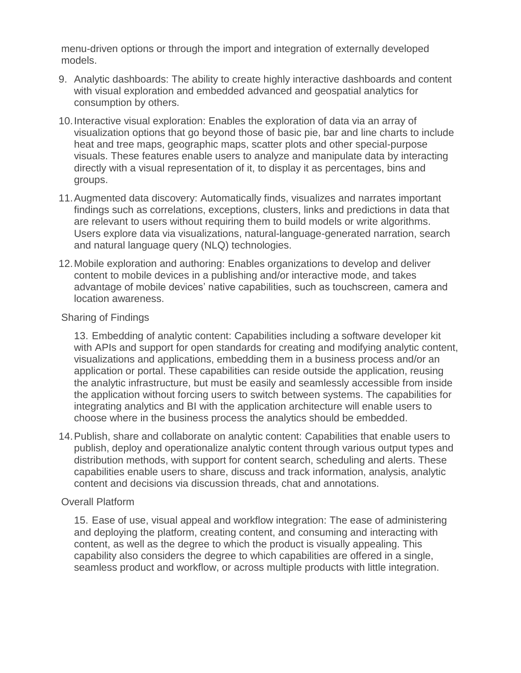menu-driven options or through the import and integration of externally developed models.

- 9. Analytic dashboards: The ability to create highly interactive dashboards and content with visual exploration and embedded advanced and geospatial analytics for consumption by others.
- 10.Interactive visual exploration: Enables the exploration of data via an array of visualization options that go beyond those of basic pie, bar and line charts to include heat and tree maps, geographic maps, scatter plots and other special-purpose visuals. These features enable users to analyze and manipulate data by interacting directly with a visual representation of it, to display it as percentages, bins and groups.
- 11.Augmented data discovery: Automatically finds, visualizes and narrates important findings such as correlations, exceptions, clusters, links and predictions in data that are relevant to users without requiring them to build models or write algorithms. Users explore data via visualizations, natural-language-generated narration, search and natural language query (NLQ) technologies.
- 12.Mobile exploration and authoring: Enables organizations to develop and deliver content to mobile devices in a publishing and/or interactive mode, and takes advantage of mobile devices' native capabilities, such as touchscreen, camera and location awareness.

#### Sharing of Findings

13. Embedding of analytic content: Capabilities including a software developer kit with APIs and support for open standards for creating and modifying analytic content, visualizations and applications, embedding them in a business process and/or an application or portal. These capabilities can reside outside the application, reusing the analytic infrastructure, but must be easily and seamlessly accessible from inside the application without forcing users to switch between systems. The capabilities for integrating analytics and BI with the application architecture will enable users to choose where in the business process the analytics should be embedded.

14.Publish, share and collaborate on analytic content: Capabilities that enable users to publish, deploy and operationalize analytic content through various output types and distribution methods, with support for content search, scheduling and alerts. These capabilities enable users to share, discuss and track information, analysis, analytic content and decisions via discussion threads, chat and annotations.

#### Overall Platform

15. Ease of use, visual appeal and workflow integration: The ease of administering and deploying the platform, creating content, and consuming and interacting with content, as well as the degree to which the product is visually appealing. This capability also considers the degree to which capabilities are offered in a single, seamless product and workflow, or across multiple products with little integration.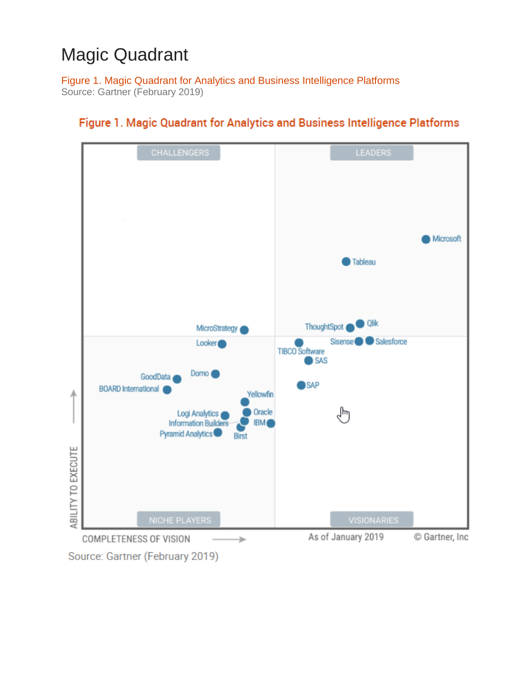## Magic Quadrant

Figure 1. Magic Quadrant for Analytics and Business Intelligence Platforms Source: Gartner (February 2019)



#### Figure 1. Magic Quadrant for Analytics and Business Intelligence Platforms

Source: Gartner (February 2019)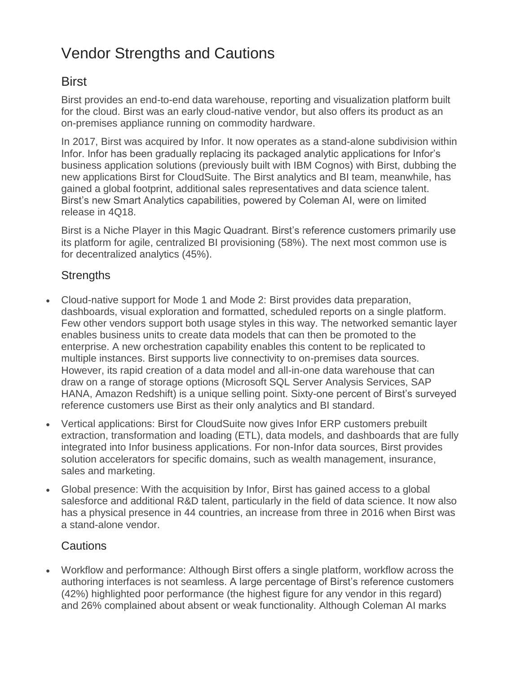## Vendor Strengths and Cautions

### **Birst**

Birst provides an end-to-end data warehouse, reporting and visualization platform built for the cloud. Birst was an early cloud-native vendor, but also offers its product as an on-premises appliance running on commodity hardware.

In 2017, Birst was acquired by Infor. It now operates as a stand-alone subdivision within Infor. Infor has been gradually replacing its packaged analytic applications for Infor's business application solutions (previously built with IBM Cognos) with Birst, dubbing the new applications Birst for CloudSuite. The Birst analytics and BI team, meanwhile, has gained a global footprint, additional sales representatives and data science talent. Birst's new Smart Analytics capabilities, powered by Coleman AI, were on limited release in 4Q18.

Birst is a Niche Player in this Magic Quadrant. Birst's reference customers primarily use its platform for agile, centralized BI provisioning (58%). The next most common use is for decentralized analytics (45%).

#### **Strengths**

- Cloud-native support for Mode 1 and Mode 2: Birst provides data preparation, dashboards, visual exploration and formatted, scheduled reports on a single platform. Few other vendors support both usage styles in this way. The networked semantic layer enables business units to create data models that can then be promoted to the enterprise. A new orchestration capability enables this content to be replicated to multiple instances. Birst supports live connectivity to on-premises data sources. However, its rapid creation of a data model and all-in-one data warehouse that can draw on a range of storage options (Microsoft SQL Server Analysis Services, SAP HANA, Amazon Redshift) is a unique selling point. Sixty-one percent of Birst's surveyed reference customers use Birst as their only analytics and BI standard.
- Vertical applications: Birst for CloudSuite now gives Infor ERP customers prebuilt extraction, transformation and loading (ETL), data models, and dashboards that are fully integrated into Infor business applications. For non-Infor data sources, Birst provides solution accelerators for specific domains, such as wealth management, insurance, sales and marketing.
- Global presence: With the acquisition by Infor, Birst has gained access to a global salesforce and additional R&D talent, particularly in the field of data science. It now also has a physical presence in 44 countries, an increase from three in 2016 when Birst was a stand-alone vendor.

#### Cautions

 Workflow and performance: Although Birst offers a single platform, workflow across the authoring interfaces is not seamless. A large percentage of Birst's reference customers (42%) highlighted poor performance (the highest figure for any vendor in this regard) and 26% complained about absent or weak functionality. Although Coleman AI marks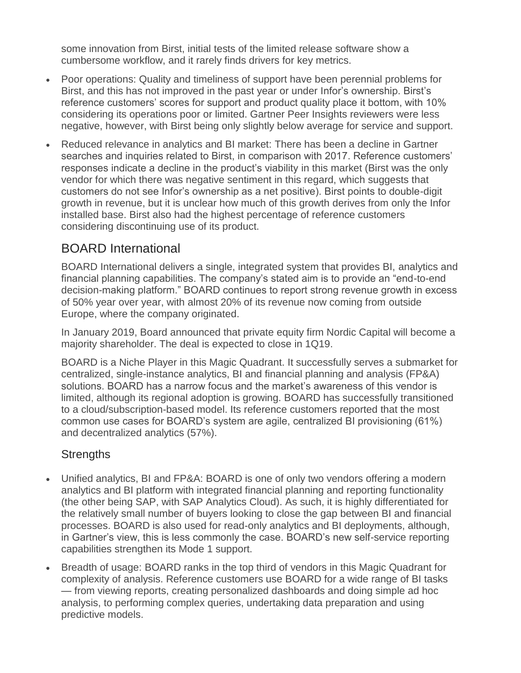some innovation from Birst, initial tests of the limited release software show a cumbersome workflow, and it rarely finds drivers for key metrics.

- Poor operations: Quality and timeliness of support have been perennial problems for Birst, and this has not improved in the past year or under Infor's ownership. Birst's reference customers' scores for support and product quality place it bottom, with 10% considering its operations poor or limited. Gartner Peer Insights reviewers were less negative, however, with Birst being only slightly below average for service and support.
- Reduced relevance in analytics and BI market: There has been a decline in Gartner searches and inquiries related to Birst, in comparison with 2017. Reference customers' responses indicate a decline in the product's viability in this market (Birst was the only vendor for which there was negative sentiment in this regard, which suggests that customers do not see Infor's ownership as a net positive). Birst points to double-digit growth in revenue, but it is unclear how much of this growth derives from only the Infor installed base. Birst also had the highest percentage of reference customers considering discontinuing use of its product.

## BOARD International

BOARD International delivers a single, integrated system that provides BI, analytics and financial planning capabilities. The company's stated aim is to provide an "end-to-end decision-making platform." BOARD continues to report strong revenue growth in excess of 50% year over year, with almost 20% of its revenue now coming from outside Europe, where the company originated.

In January 2019, Board announced that private equity firm Nordic Capital will become a majority shareholder. The deal is expected to close in 1Q19.

BOARD is a Niche Player in this Magic Quadrant. It successfully serves a submarket for centralized, single-instance analytics, BI and financial planning and analysis (FP&A) solutions. BOARD has a narrow focus and the market's awareness of this vendor is limited, although its regional adoption is growing. BOARD has successfully transitioned to a cloud/subscription-based model. Its reference customers reported that the most common use cases for BOARD's system are agile, centralized BI provisioning (61%) and decentralized analytics (57%).

#### **Strengths**

- Unified analytics, BI and FP&A: BOARD is one of only two vendors offering a modern analytics and BI platform with integrated financial planning and reporting functionality (the other being SAP, with SAP Analytics Cloud). As such, it is highly differentiated for the relatively small number of buyers looking to close the gap between BI and financial processes. BOARD is also used for read-only analytics and BI deployments, although, in Gartner's view, this is less commonly the case. BOARD's new self-service reporting capabilities strengthen its Mode 1 support.
- Breadth of usage: BOARD ranks in the top third of vendors in this Magic Quadrant for complexity of analysis. Reference customers use BOARD for a wide range of BI tasks — from viewing reports, creating personalized dashboards and doing simple ad hoc analysis, to performing complex queries, undertaking data preparation and using predictive models.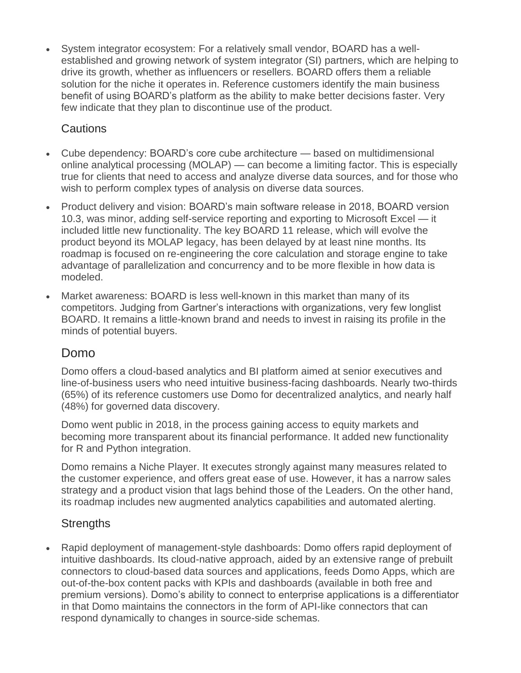System integrator ecosystem: For a relatively small vendor, BOARD has a wellestablished and growing network of system integrator (SI) partners, which are helping to drive its growth, whether as influencers or resellers. BOARD offers them a reliable solution for the niche it operates in. Reference customers identify the main business benefit of using BOARD's platform as the ability to make better decisions faster. Very few indicate that they plan to discontinue use of the product.

#### Cautions

- Cube dependency: BOARD's core cube architecture based on multidimensional online analytical processing (MOLAP) — can become a limiting factor. This is especially true for clients that need to access and analyze diverse data sources, and for those who wish to perform complex types of analysis on diverse data sources.
- Product delivery and vision: BOARD's main software release in 2018, BOARD version 10.3, was minor, adding self-service reporting and exporting to Microsoft Excel — it included little new functionality. The key BOARD 11 release, which will evolve the product beyond its MOLAP legacy, has been delayed by at least nine months. Its roadmap is focused on re-engineering the core calculation and storage engine to take advantage of parallelization and concurrency and to be more flexible in how data is modeled.
- Market awareness: BOARD is less well-known in this market than many of its competitors. Judging from Gartner's interactions with organizations, very few longlist BOARD. It remains a little-known brand and needs to invest in raising its profile in the minds of potential buyers.

#### Domo

Domo offers a cloud-based analytics and BI platform aimed at senior executives and line-of-business users who need intuitive business-facing dashboards. Nearly two-thirds (65%) of its reference customers use Domo for decentralized analytics, and nearly half (48%) for governed data discovery.

Domo went public in 2018, in the process gaining access to equity markets and becoming more transparent about its financial performance. It added new functionality for R and Python integration.

Domo remains a Niche Player. It executes strongly against many measures related to the customer experience, and offers great ease of use. However, it has a narrow sales strategy and a product vision that lags behind those of the Leaders. On the other hand, its roadmap includes new augmented analytics capabilities and automated alerting.

#### **Strengths**

 Rapid deployment of management-style dashboards: Domo offers rapid deployment of intuitive dashboards. Its cloud-native approach, aided by an extensive range of prebuilt connectors to cloud-based data sources and applications, feeds Domo Apps, which are out-of-the-box content packs with KPIs and dashboards (available in both free and premium versions). Domo's ability to connect to enterprise applications is a differentiator in that Domo maintains the connectors in the form of API-like connectors that can respond dynamically to changes in source-side schemas.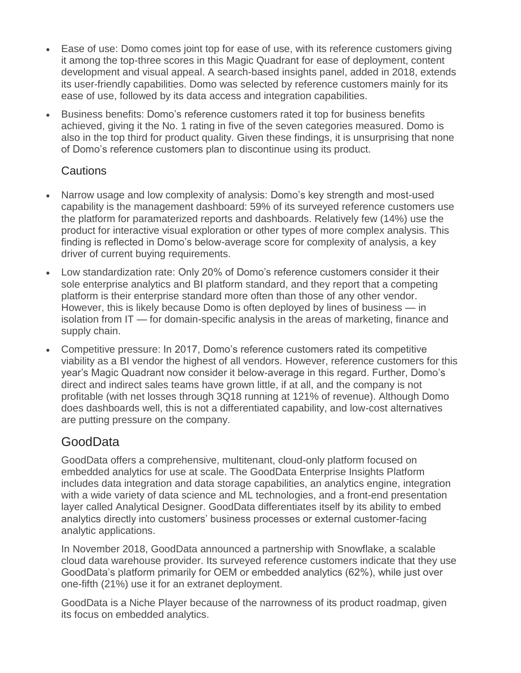- Ease of use: Domo comes joint top for ease of use, with its reference customers giving it among the top-three scores in this Magic Quadrant for ease of deployment, content development and visual appeal. A search-based insights panel, added in 2018, extends its user-friendly capabilities. Domo was selected by reference customers mainly for its ease of use, followed by its data access and integration capabilities.
- Business benefits: Domo's reference customers rated it top for business benefits achieved, giving it the No. 1 rating in five of the seven categories measured. Domo is also in the top third for product quality. Given these findings, it is unsurprising that none of Domo's reference customers plan to discontinue using its product.

#### Cautions

- Narrow usage and low complexity of analysis: Domo's key strength and most-used capability is the management dashboard: 59% of its surveyed reference customers use the platform for paramaterized reports and dashboards. Relatively few (14%) use the product for interactive visual exploration or other types of more complex analysis. This finding is reflected in Domo's below-average score for complexity of analysis, a key driver of current buying requirements.
- Low standardization rate: Only 20% of Domo's reference customers consider it their sole enterprise analytics and BI platform standard, and they report that a competing platform is their enterprise standard more often than those of any other vendor. However, this is likely because Domo is often deployed by lines of business — in isolation from IT — for domain-specific analysis in the areas of marketing, finance and supply chain.
- Competitive pressure: In 2017, Domo's reference customers rated its competitive viability as a BI vendor the highest of all vendors. However, reference customers for this year's Magic Quadrant now consider it below-average in this regard. Further, Domo's direct and indirect sales teams have grown little, if at all, and the company is not profitable (with net losses through 3Q18 running at 121% of revenue). Although Domo does dashboards well, this is not a differentiated capability, and low-cost alternatives are putting pressure on the company.

## GoodData

GoodData offers a comprehensive, multitenant, cloud-only platform focused on embedded analytics for use at scale. The GoodData Enterprise Insights Platform includes data integration and data storage capabilities, an analytics engine, integration with a wide variety of data science and ML technologies, and a front-end presentation layer called Analytical Designer. GoodData differentiates itself by its ability to embed analytics directly into customers' business processes or external customer-facing analytic applications.

In November 2018, GoodData announced a partnership with Snowflake, a scalable cloud data warehouse provider. Its surveyed reference customers indicate that they use GoodData's platform primarily for OEM or embedded analytics (62%), while just over one-fifth (21%) use it for an extranet deployment.

GoodData is a Niche Player because of the narrowness of its product roadmap, given its focus on embedded analytics.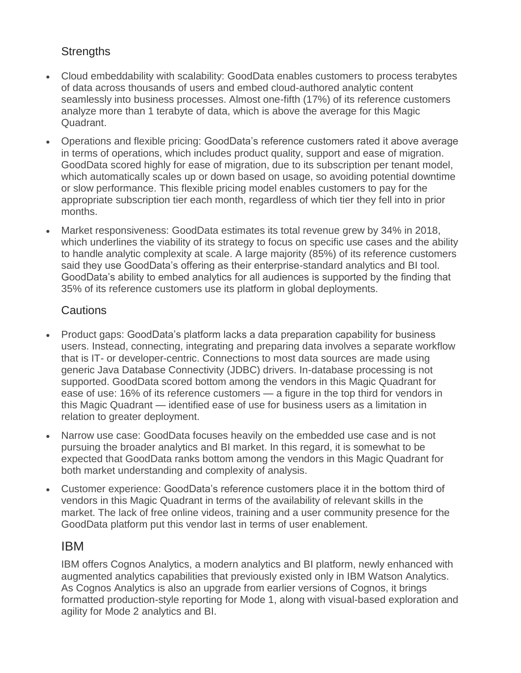#### **Strengths**

- Cloud embeddability with scalability: GoodData enables customers to process terabytes of data across thousands of users and embed cloud-authored analytic content seamlessly into business processes. Almost one-fifth (17%) of its reference customers analyze more than 1 terabyte of data, which is above the average for this Magic Quadrant.
- Operations and flexible pricing: GoodData's reference customers rated it above average in terms of operations, which includes product quality, support and ease of migration. GoodData scored highly for ease of migration, due to its subscription per tenant model, which automatically scales up or down based on usage, so avoiding potential downtime or slow performance. This flexible pricing model enables customers to pay for the appropriate subscription tier each month, regardless of which tier they fell into in prior months.
- Market responsiveness: GoodData estimates its total revenue grew by 34% in 2018, which underlines the viability of its strategy to focus on specific use cases and the ability to handle analytic complexity at scale. A large majority (85%) of its reference customers said they use GoodData's offering as their enterprise-standard analytics and BI tool. GoodData's ability to embed analytics for all audiences is supported by the finding that 35% of its reference customers use its platform in global deployments.

#### **Cautions**

- Product gaps: GoodData's platform lacks a data preparation capability for business users. Instead, connecting, integrating and preparing data involves a separate workflow that is IT- or developer-centric. Connections to most data sources are made using generic Java Database Connectivity (JDBC) drivers. In-database processing is not supported. GoodData scored bottom among the vendors in this Magic Quadrant for ease of use: 16% of its reference customers — a figure in the top third for vendors in this Magic Quadrant — identified ease of use for business users as a limitation in relation to greater deployment.
- Narrow use case: GoodData focuses heavily on the embedded use case and is not pursuing the broader analytics and BI market. In this regard, it is somewhat to be expected that GoodData ranks bottom among the vendors in this Magic Quadrant for both market understanding and complexity of analysis.
- Customer experience: GoodData's reference customers place it in the bottom third of vendors in this Magic Quadrant in terms of the availability of relevant skills in the market. The lack of free online videos, training and a user community presence for the GoodData platform put this vendor last in terms of user enablement.

#### IBM

IBM offers Cognos Analytics, a modern analytics and BI platform, newly enhanced with augmented analytics capabilities that previously existed only in IBM Watson Analytics. As Cognos Analytics is also an upgrade from earlier versions of Cognos, it brings formatted production-style reporting for Mode 1, along with visual-based exploration and agility for Mode 2 analytics and BI.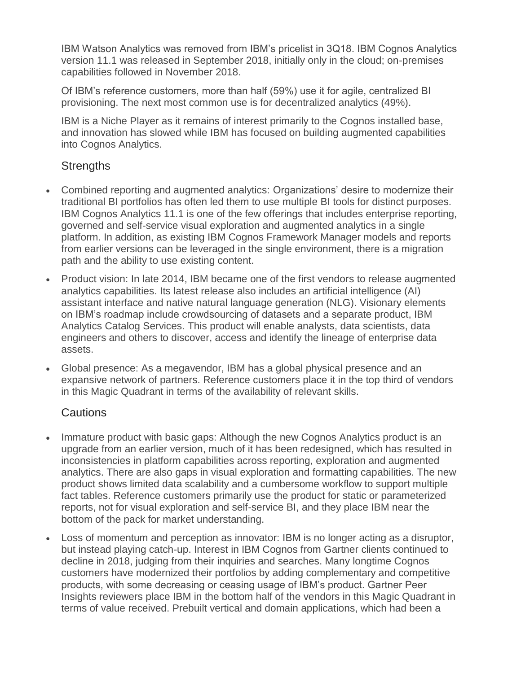IBM Watson Analytics was removed from IBM's pricelist in 3Q18. IBM Cognos Analytics version 11.1 was released in September 2018, initially only in the cloud; on-premises capabilities followed in November 2018.

Of IBM's reference customers, more than half (59%) use it for agile, centralized BI provisioning. The next most common use is for decentralized analytics (49%).

IBM is a Niche Player as it remains of interest primarily to the Cognos installed base, and innovation has slowed while IBM has focused on building augmented capabilities into Cognos Analytics.

#### **Strengths**

- Combined reporting and augmented analytics: Organizations' desire to modernize their traditional BI portfolios has often led them to use multiple BI tools for distinct purposes. IBM Cognos Analytics 11.1 is one of the few offerings that includes enterprise reporting, governed and self-service visual exploration and augmented analytics in a single platform. In addition, as existing IBM Cognos Framework Manager models and reports from earlier versions can be leveraged in the single environment, there is a migration path and the ability to use existing content.
- Product vision: In late 2014, IBM became one of the first vendors to release augmented analytics capabilities. Its latest release also includes an artificial intelligence (AI) assistant interface and native natural language generation (NLG). Visionary elements on IBM's roadmap include crowdsourcing of datasets and a separate product, IBM Analytics Catalog Services. This product will enable analysts, data scientists, data engineers and others to discover, access and identify the lineage of enterprise data assets.
- Global presence: As a megavendor, IBM has a global physical presence and an expansive network of partners. Reference customers place it in the top third of vendors in this Magic Quadrant in terms of the availability of relevant skills.

#### **Cautions**

- Immature product with basic gaps: Although the new Cognos Analytics product is an upgrade from an earlier version, much of it has been redesigned, which has resulted in inconsistencies in platform capabilities across reporting, exploration and augmented analytics. There are also gaps in visual exploration and formatting capabilities. The new product shows limited data scalability and a cumbersome workflow to support multiple fact tables. Reference customers primarily use the product for static or parameterized reports, not for visual exploration and self-service BI, and they place IBM near the bottom of the pack for market understanding.
- Loss of momentum and perception as innovator: IBM is no longer acting as a disruptor, but instead playing catch-up. Interest in IBM Cognos from Gartner clients continued to decline in 2018, judging from their inquiries and searches. Many longtime Cognos customers have modernized their portfolios by adding complementary and competitive products, with some decreasing or ceasing usage of IBM's product. Gartner Peer Insights reviewers place IBM in the bottom half of the vendors in this Magic Quadrant in terms of value received. Prebuilt vertical and domain applications, which had been a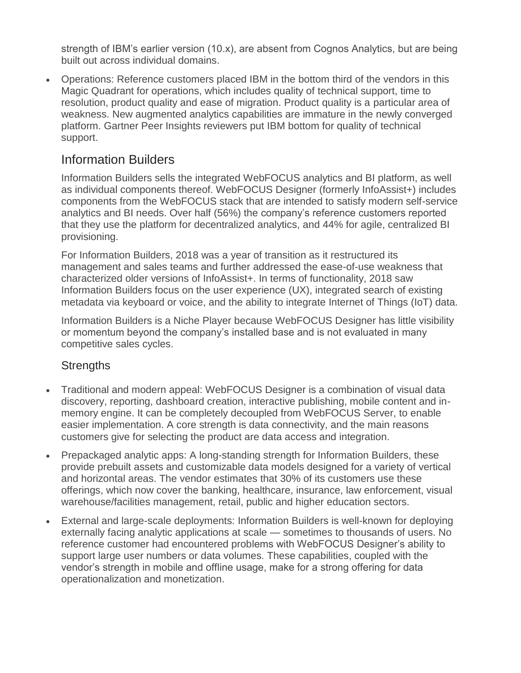strength of IBM's earlier version (10.x), are absent from Cognos Analytics, but are being built out across individual domains.

 Operations: Reference customers placed IBM in the bottom third of the vendors in this Magic Quadrant for operations, which includes quality of technical support, time to resolution, product quality and ease of migration. Product quality is a particular area of weakness. New augmented analytics capabilities are immature in the newly converged platform. Gartner Peer Insights reviewers put IBM bottom for quality of technical support.

### Information Builders

Information Builders sells the integrated WebFOCUS analytics and BI platform, as well as individual components thereof. WebFOCUS Designer (formerly InfoAssist+) includes components from the WebFOCUS stack that are intended to satisfy modern self-service analytics and BI needs. Over half (56%) the company's reference customers reported that they use the platform for decentralized analytics, and 44% for agile, centralized BI provisioning.

For Information Builders, 2018 was a year of transition as it restructured its management and sales teams and further addressed the ease-of-use weakness that characterized older versions of InfoAssist+. In terms of functionality, 2018 saw Information Builders focus on the user experience (UX), integrated search of existing metadata via keyboard or voice, and the ability to integrate Internet of Things (IoT) data.

Information Builders is a Niche Player because WebFOCUS Designer has little visibility or momentum beyond the company's installed base and is not evaluated in many competitive sales cycles.

#### **Strengths**

- Traditional and modern appeal: WebFOCUS Designer is a combination of visual data discovery, reporting, dashboard creation, interactive publishing, mobile content and inmemory engine. It can be completely decoupled from WebFOCUS Server, to enable easier implementation. A core strength is data connectivity, and the main reasons customers give for selecting the product are data access and integration.
- Prepackaged analytic apps: A long-standing strength for Information Builders, these provide prebuilt assets and customizable data models designed for a variety of vertical and horizontal areas. The vendor estimates that 30% of its customers use these offerings, which now cover the banking, healthcare, insurance, law enforcement, visual warehouse/facilities management, retail, public and higher education sectors.
- External and large-scale deployments: Information Builders is well-known for deploying externally facing analytic applications at scale — sometimes to thousands of users. No reference customer had encountered problems with WebFOCUS Designer's ability to support large user numbers or data volumes. These capabilities, coupled with the vendor's strength in mobile and offline usage, make for a strong offering for data operationalization and monetization.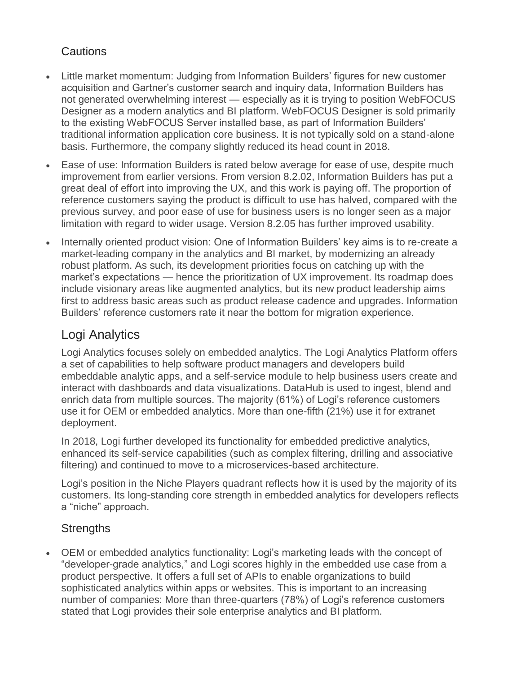#### **Cautions**

- Little market momentum: Judging from Information Builders' figures for new customer acquisition and Gartner's customer search and inquiry data, Information Builders has not generated overwhelming interest — especially as it is trying to position WebFOCUS Designer as a modern analytics and BI platform. WebFOCUS Designer is sold primarily to the existing WebFOCUS Server installed base, as part of Information Builders' traditional information application core business. It is not typically sold on a stand-alone basis. Furthermore, the company slightly reduced its head count in 2018.
- Ease of use: Information Builders is rated below average for ease of use, despite much improvement from earlier versions. From version 8.2.02, Information Builders has put a great deal of effort into improving the UX, and this work is paying off. The proportion of reference customers saying the product is difficult to use has halved, compared with the previous survey, and poor ease of use for business users is no longer seen as a major limitation with regard to wider usage. Version 8.2.05 has further improved usability.
- Internally oriented product vision: One of Information Builders' key aims is to re-create a market-leading company in the analytics and BI market, by modernizing an already robust platform. As such, its development priorities focus on catching up with the market's expectations — hence the prioritization of UX improvement. Its roadmap does include visionary areas like augmented analytics, but its new product leadership aims first to address basic areas such as product release cadence and upgrades. Information Builders' reference customers rate it near the bottom for migration experience.

#### Logi Analytics

Logi Analytics focuses solely on embedded analytics. The Logi Analytics Platform offers a set of capabilities to help software product managers and developers build embeddable analytic apps, and a self-service module to help business users create and interact with dashboards and data visualizations. DataHub is used to ingest, blend and enrich data from multiple sources. The majority (61%) of Logi's reference customers use it for OEM or embedded analytics. More than one-fifth (21%) use it for extranet deployment.

In 2018, Logi further developed its functionality for embedded predictive analytics, enhanced its self-service capabilities (such as complex filtering, drilling and associative filtering) and continued to move to a microservices-based architecture.

Logi's position in the Niche Players quadrant reflects how it is used by the majority of its customers. Its long-standing core strength in embedded analytics for developers reflects a "niche" approach.

#### **Strengths**

 OEM or embedded analytics functionality: Logi's marketing leads with the concept of "developer-grade analytics," and Logi scores highly in the embedded use case from a product perspective. It offers a full set of APIs to enable organizations to build sophisticated analytics within apps or websites. This is important to an increasing number of companies: More than three-quarters (78%) of Logi's reference customers stated that Logi provides their sole enterprise analytics and BI platform.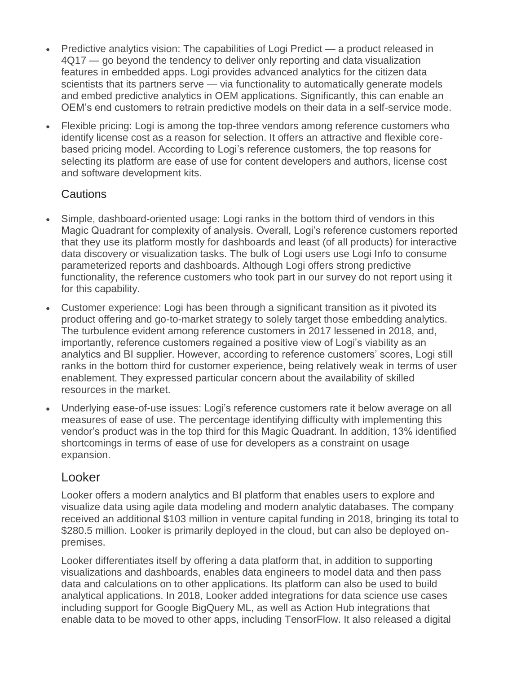- Predictive analytics vision: The capabilities of Logi Predict a product released in 4Q17 — go beyond the tendency to deliver only reporting and data visualization features in embedded apps. Logi provides advanced analytics for the citizen data scientists that its partners serve — via functionality to automatically generate models and embed predictive analytics in OEM applications. Significantly, this can enable an OEM's end customers to retrain predictive models on their data in a self-service mode.
- Flexible pricing: Logi is among the top-three vendors among reference customers who identify license cost as a reason for selection. It offers an attractive and flexible corebased pricing model. According to Logi's reference customers, the top reasons for selecting its platform are ease of use for content developers and authors, license cost and software development kits.

#### **Cautions**

- Simple, dashboard-oriented usage: Logi ranks in the bottom third of vendors in this Magic Quadrant for complexity of analysis. Overall, Logi's reference customers reported that they use its platform mostly for dashboards and least (of all products) for interactive data discovery or visualization tasks. The bulk of Logi users use Logi Info to consume parameterized reports and dashboards. Although Logi offers strong predictive functionality, the reference customers who took part in our survey do not report using it for this capability.
- Customer experience: Logi has been through a significant transition as it pivoted its product offering and go-to-market strategy to solely target those embedding analytics. The turbulence evident among reference customers in 2017 lessened in 2018, and, importantly, reference customers regained a positive view of Logi's viability as an analytics and BI supplier. However, according to reference customers' scores, Logi still ranks in the bottom third for customer experience, being relatively weak in terms of user enablement. They expressed particular concern about the availability of skilled resources in the market.
- Underlying ease-of-use issues: Logi's reference customers rate it below average on all measures of ease of use. The percentage identifying difficulty with implementing this vendor's product was in the top third for this Magic Quadrant. In addition, 13% identified shortcomings in terms of ease of use for developers as a constraint on usage expansion.

#### Looker

Looker offers a modern analytics and BI platform that enables users to explore and visualize data using agile data modeling and modern analytic databases. The company received an additional \$103 million in venture capital funding in 2018, bringing its total to \$280.5 million. Looker is primarily deployed in the cloud, but can also be deployed onpremises.

Looker differentiates itself by offering a data platform that, in addition to supporting visualizations and dashboards, enables data engineers to model data and then pass data and calculations on to other applications. Its platform can also be used to build analytical applications. In 2018, Looker added integrations for data science use cases including support for Google BigQuery ML, as well as Action Hub integrations that enable data to be moved to other apps, including TensorFlow. It also released a digital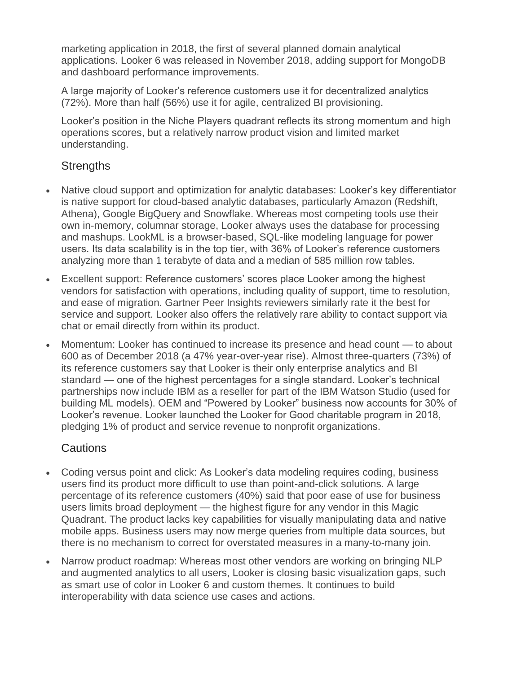marketing application in 2018, the first of several planned domain analytical applications. Looker 6 was released in November 2018, adding support for MongoDB and dashboard performance improvements.

A large majority of Looker's reference customers use it for decentralized analytics (72%). More than half (56%) use it for agile, centralized BI provisioning.

Looker's position in the Niche Players quadrant reflects its strong momentum and high operations scores, but a relatively narrow product vision and limited market understanding.

#### **Strengths**

- Native cloud support and optimization for analytic databases: Looker's key differentiator is native support for cloud-based analytic databases, particularly Amazon (Redshift, Athena), Google BigQuery and Snowflake. Whereas most competing tools use their own in-memory, columnar storage, Looker always uses the database for processing and mashups. LookML is a browser-based, SQL-like modeling language for power users. Its data scalability is in the top tier, with 36% of Looker's reference customers analyzing more than 1 terabyte of data and a median of 585 million row tables.
- Excellent support: Reference customers' scores place Looker among the highest vendors for satisfaction with operations, including quality of support, time to resolution, and ease of migration. Gartner Peer Insights reviewers similarly rate it the best for service and support. Looker also offers the relatively rare ability to contact support via chat or email directly from within its product.
- Momentum: Looker has continued to increase its presence and head count to about 600 as of December 2018 (a 47% year-over-year rise). Almost three-quarters (73%) of its reference customers say that Looker is their only enterprise analytics and BI standard — one of the highest percentages for a single standard. Looker's technical partnerships now include IBM as a reseller for part of the IBM Watson Studio (used for building ML models). OEM and "Powered by Looker" business now accounts for 30% of Looker's revenue. Looker launched the Looker for Good charitable program in 2018, pledging 1% of product and service revenue to nonprofit organizations.

#### Cautions

- Coding versus point and click: As Looker's data modeling requires coding, business users find its product more difficult to use than point-and-click solutions. A large percentage of its reference customers (40%) said that poor ease of use for business users limits broad deployment — the highest figure for any vendor in this Magic Quadrant. The product lacks key capabilities for visually manipulating data and native mobile apps. Business users may now merge queries from multiple data sources, but there is no mechanism to correct for overstated measures in a many-to-many join.
- Narrow product roadmap: Whereas most other vendors are working on bringing NLP and augmented analytics to all users, Looker is closing basic visualization gaps, such as smart use of color in Looker 6 and custom themes. It continues to build interoperability with data science use cases and actions.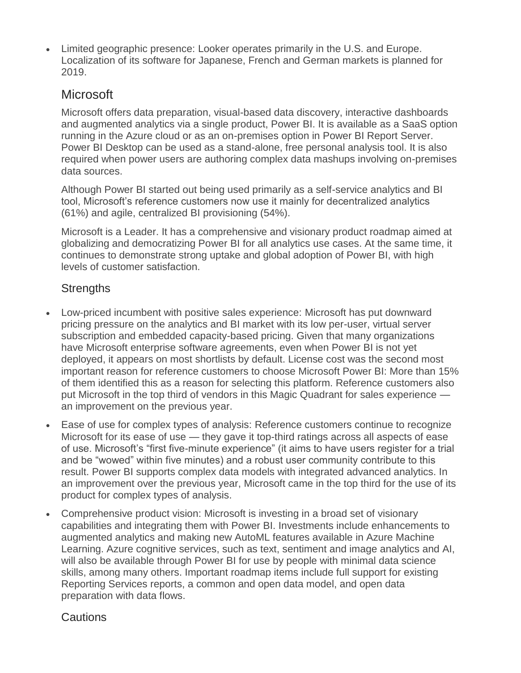Limited geographic presence: Looker operates primarily in the U.S. and Europe. Localization of its software for Japanese, French and German markets is planned for 2019.

### **Microsoft**

Microsoft offers data preparation, visual-based data discovery, interactive dashboards and augmented analytics via a single product, Power BI. It is available as a SaaS option running in the Azure cloud or as an on-premises option in Power BI Report Server. Power BI Desktop can be used as a stand-alone, free personal analysis tool. It is also required when power users are authoring complex data mashups involving on-premises data sources.

Although Power BI started out being used primarily as a self-service analytics and BI tool, Microsoft's reference customers now use it mainly for decentralized analytics (61%) and agile, centralized BI provisioning (54%).

Microsoft is a Leader. It has a comprehensive and visionary product roadmap aimed at globalizing and democratizing Power BI for all analytics use cases. At the same time, it continues to demonstrate strong uptake and global adoption of Power BI, with high levels of customer satisfaction.

#### **Strengths**

- Low-priced incumbent with positive sales experience: Microsoft has put downward pricing pressure on the analytics and BI market with its low per-user, virtual server subscription and embedded capacity-based pricing. Given that many organizations have Microsoft enterprise software agreements, even when Power BI is not yet deployed, it appears on most shortlists by default. License cost was the second most important reason for reference customers to choose Microsoft Power BI: More than 15% of them identified this as a reason for selecting this platform. Reference customers also put Microsoft in the top third of vendors in this Magic Quadrant for sales experience an improvement on the previous year.
- Ease of use for complex types of analysis: Reference customers continue to recognize Microsoft for its ease of use — they gave it top-third ratings across all aspects of ease of use. Microsoft's "first five-minute experience" (it aims to have users register for a trial and be "wowed" within five minutes) and a robust user community contribute to this result. Power BI supports complex data models with integrated advanced analytics. In an improvement over the previous year, Microsoft came in the top third for the use of its product for complex types of analysis.
- Comprehensive product vision: Microsoft is investing in a broad set of visionary capabilities and integrating them with Power BI. Investments include enhancements to augmented analytics and making new AutoML features available in Azure Machine Learning. Azure cognitive services, such as text, sentiment and image analytics and AI, will also be available through Power BI for use by people with minimal data science skills, among many others. Important roadmap items include full support for existing Reporting Services reports, a common and open data model, and open data preparation with data flows.

#### **Cautions**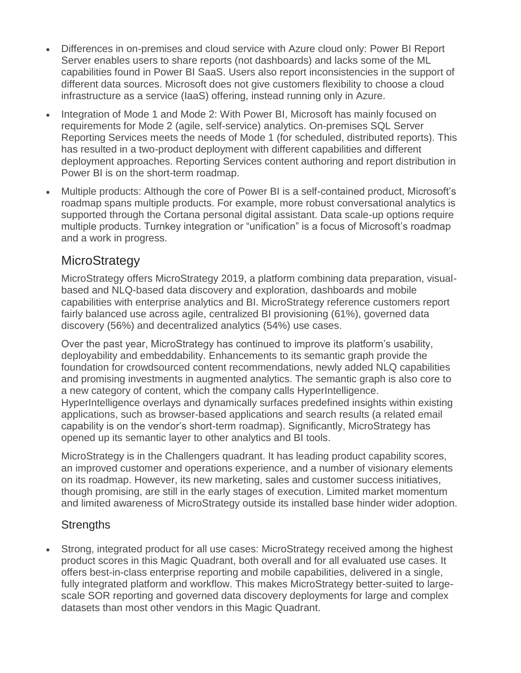- Differences in on-premises and cloud service with Azure cloud only: Power BI Report Server enables users to share reports (not dashboards) and lacks some of the ML capabilities found in Power BI SaaS. Users also report inconsistencies in the support of different data sources. Microsoft does not give customers flexibility to choose a cloud infrastructure as a service (IaaS) offering, instead running only in Azure.
- Integration of Mode 1 and Mode 2: With Power BI, Microsoft has mainly focused on requirements for Mode 2 (agile, self-service) analytics. On-premises SQL Server Reporting Services meets the needs of Mode 1 (for scheduled, distributed reports). This has resulted in a two-product deployment with different capabilities and different deployment approaches. Reporting Services content authoring and report distribution in Power BI is on the short-term roadmap.
- Multiple products: Although the core of Power BI is a self-contained product, Microsoft's roadmap spans multiple products. For example, more robust conversational analytics is supported through the Cortana personal digital assistant. Data scale-up options require multiple products. Turnkey integration or "unification" is a focus of Microsoft's roadmap and a work in progress.

### **MicroStrategy**

MicroStrategy offers MicroStrategy 2019, a platform combining data preparation, visualbased and NLQ-based data discovery and exploration, dashboards and mobile capabilities with enterprise analytics and BI. MicroStrategy reference customers report fairly balanced use across agile, centralized BI provisioning (61%), governed data discovery (56%) and decentralized analytics (54%) use cases.

Over the past year, MicroStrategy has continued to improve its platform's usability, deployability and embeddability. Enhancements to its semantic graph provide the foundation for crowdsourced content recommendations, newly added NLQ capabilities and promising investments in augmented analytics. The semantic graph is also core to a new category of content, which the company calls HyperIntelligence. HyperIntelligence overlays and dynamically surfaces predefined insights within existing applications, such as browser-based applications and search results (a related email capability is on the vendor's short-term roadmap). Significantly, MicroStrategy has opened up its semantic layer to other analytics and BI tools.

MicroStrategy is in the Challengers quadrant. It has leading product capability scores, an improved customer and operations experience, and a number of visionary elements on its roadmap. However, its new marketing, sales and customer success initiatives, though promising, are still in the early stages of execution. Limited market momentum and limited awareness of MicroStrategy outside its installed base hinder wider adoption.

#### **Strengths**

 Strong, integrated product for all use cases: MicroStrategy received among the highest product scores in this Magic Quadrant, both overall and for all evaluated use cases. It offers best-in-class enterprise reporting and mobile capabilities, delivered in a single, fully integrated platform and workflow. This makes MicroStrategy better-suited to largescale SOR reporting and governed data discovery deployments for large and complex datasets than most other vendors in this Magic Quadrant.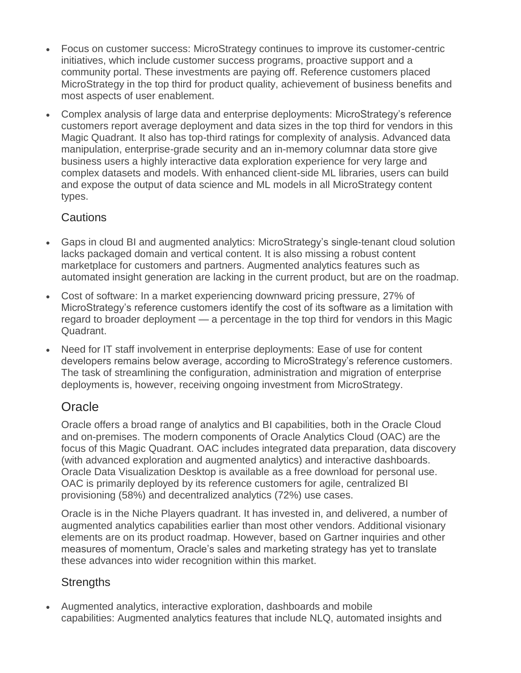- Focus on customer success: MicroStrategy continues to improve its customer-centric initiatives, which include customer success programs, proactive support and a community portal. These investments are paying off. Reference customers placed MicroStrategy in the top third for product quality, achievement of business benefits and most aspects of user enablement.
- Complex analysis of large data and enterprise deployments: MicroStrategy's reference customers report average deployment and data sizes in the top third for vendors in this Magic Quadrant. It also has top-third ratings for complexity of analysis. Advanced data manipulation, enterprise-grade security and an in-memory columnar data store give business users a highly interactive data exploration experience for very large and complex datasets and models. With enhanced client-side ML libraries, users can build and expose the output of data science and ML models in all MicroStrategy content types.

#### Cautions

- Gaps in cloud BI and augmented analytics: MicroStrategy's single-tenant cloud solution lacks packaged domain and vertical content. It is also missing a robust content marketplace for customers and partners. Augmented analytics features such as automated insight generation are lacking in the current product, but are on the roadmap.
- Cost of software: In a market experiencing downward pricing pressure, 27% of MicroStrategy's reference customers identify the cost of its software as a limitation with regard to broader deployment — a percentage in the top third for vendors in this Magic Quadrant.
- Need for IT staff involvement in enterprise deployments: Ease of use for content developers remains below average, according to MicroStrategy's reference customers. The task of streamlining the configuration, administration and migration of enterprise deployments is, however, receiving ongoing investment from MicroStrategy.

### **Oracle**

Oracle offers a broad range of analytics and BI capabilities, both in the Oracle Cloud and on-premises. The modern components of Oracle Analytics Cloud (OAC) are the focus of this Magic Quadrant. OAC includes integrated data preparation, data discovery (with advanced exploration and augmented analytics) and interactive dashboards. Oracle Data Visualization Desktop is available as a free download for personal use. OAC is primarily deployed by its reference customers for agile, centralized BI provisioning (58%) and decentralized analytics (72%) use cases.

Oracle is in the Niche Players quadrant. It has invested in, and delivered, a number of augmented analytics capabilities earlier than most other vendors. Additional visionary elements are on its product roadmap. However, based on Gartner inquiries and other measures of momentum, Oracle's sales and marketing strategy has yet to translate these advances into wider recognition within this market.

#### **Strengths**

 Augmented analytics, interactive exploration, dashboards and mobile capabilities: Augmented analytics features that include NLQ, automated insights and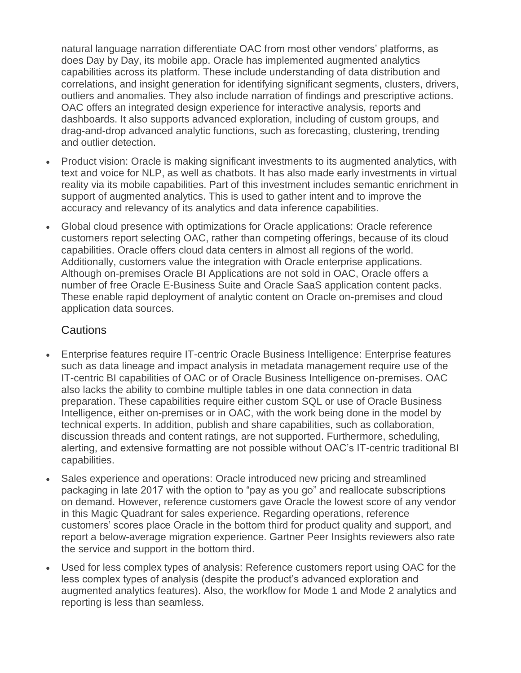natural language narration differentiate OAC from most other vendors' platforms, as does Day by Day, its mobile app. Oracle has implemented augmented analytics capabilities across its platform. These include understanding of data distribution and correlations, and insight generation for identifying significant segments, clusters, drivers, outliers and anomalies. They also include narration of findings and prescriptive actions. OAC offers an integrated design experience for interactive analysis, reports and dashboards. It also supports advanced exploration, including of custom groups, and drag-and-drop advanced analytic functions, such as forecasting, clustering, trending and outlier detection.

- Product vision: Oracle is making significant investments to its augmented analytics, with text and voice for NLP, as well as chatbots. It has also made early investments in virtual reality via its mobile capabilities. Part of this investment includes semantic enrichment in support of augmented analytics. This is used to gather intent and to improve the accuracy and relevancy of its analytics and data inference capabilities.
- Global cloud presence with optimizations for Oracle applications: Oracle reference customers report selecting OAC, rather than competing offerings, because of its cloud capabilities. Oracle offers cloud data centers in almost all regions of the world. Additionally, customers value the integration with Oracle enterprise applications. Although on-premises Oracle BI Applications are not sold in OAC, Oracle offers a number of free Oracle E-Business Suite and Oracle SaaS application content packs. These enable rapid deployment of analytic content on Oracle on-premises and cloud application data sources.

#### **Cautions**

- Enterprise features require IT-centric Oracle Business Intelligence: Enterprise features such as data lineage and impact analysis in metadata management require use of the IT-centric BI capabilities of OAC or of Oracle Business Intelligence on-premises. OAC also lacks the ability to combine multiple tables in one data connection in data preparation. These capabilities require either custom SQL or use of Oracle Business Intelligence, either on-premises or in OAC, with the work being done in the model by technical experts. In addition, publish and share capabilities, such as collaboration, discussion threads and content ratings, are not supported. Furthermore, scheduling, alerting, and extensive formatting are not possible without OAC's IT-centric traditional BI capabilities.
- Sales experience and operations: Oracle introduced new pricing and streamlined packaging in late 2017 with the option to "pay as you go" and reallocate subscriptions on demand. However, reference customers gave Oracle the lowest score of any vendor in this Magic Quadrant for sales experience. Regarding operations, reference customers' scores place Oracle in the bottom third for product quality and support, and report a below-average migration experience. Gartner Peer Insights reviewers also rate the service and support in the bottom third.
- Used for less complex types of analysis: Reference customers report using OAC for the less complex types of analysis (despite the product's advanced exploration and augmented analytics features). Also, the workflow for Mode 1 and Mode 2 analytics and reporting is less than seamless.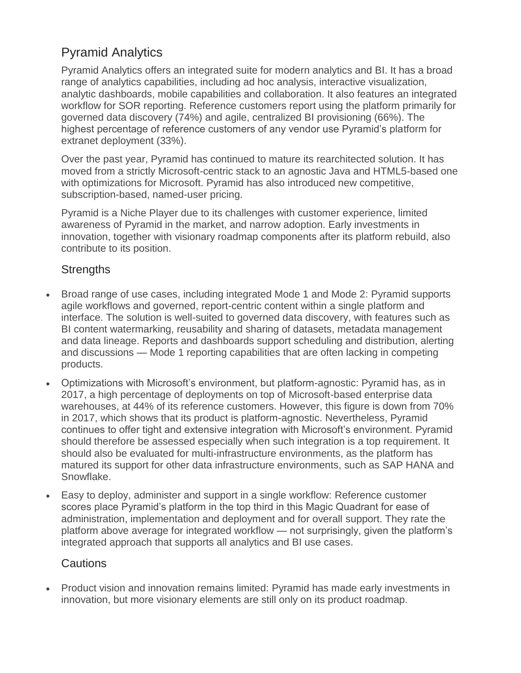## Pyramid Analytics

Pyramid Analytics offers an integrated suite for modern analytics and BI. It has a broad range of analytics capabilities, including ad hoc analysis, interactive visualization, analytic dashboards, mobile capabilities and collaboration. It also features an integrated workflow for SOR reporting. Reference customers report using the platform primarily for governed data discovery (74%) and agile, centralized BI provisioning (66%). The highest percentage of reference customers of any vendor use Pyramid's platform for extranet deployment (33%).

Over the past year, Pyramid has continued to mature its rearchitected solution. It has moved from a strictly Microsoft-centric stack to an agnostic Java and HTML5-based one with optimizations for Microsoft. Pyramid has also introduced new competitive, subscription-based, named-user pricing.

Pyramid is a Niche Player due to its challenges with customer experience, limited awareness of Pyramid in the market, and narrow adoption. Early investments in innovation, together with visionary roadmap components after its platform rebuild, also contribute to its position.

#### **Strengths**

- Broad range of use cases, including integrated Mode 1 and Mode 2: Pyramid supports agile workflows and governed, report-centric content within a single platform and interface. The solution is well-suited to governed data discovery, with features such as BI content watermarking, reusability and sharing of datasets, metadata management and data lineage. Reports and dashboards support scheduling and distribution, alerting and discussions — Mode 1 reporting capabilities that are often lacking in competing products.
- Optimizations with Microsoft's environment, but platform-agnostic: Pyramid has, as in 2017, a high percentage of deployments on top of Microsoft-based enterprise data warehouses, at 44% of its reference customers. However, this figure is down from 70% in 2017, which shows that its product is platform-agnostic. Nevertheless, Pyramid continues to offer tight and extensive integration with Microsoft's environment. Pyramid should therefore be assessed especially when such integration is a top requirement. It should also be evaluated for multi-infrastructure environments, as the platform has matured its support for other data infrastructure environments, such as SAP HANA and Snowflake.
- Easy to deploy, administer and support in a single workflow: Reference customer scores place Pyramid's platform in the top third in this Magic Quadrant for ease of administration, implementation and deployment and for overall support. They rate the platform above average for integrated workflow — not surprisingly, given the platform's integrated approach that supports all analytics and BI use cases.

#### **Cautions**

 Product vision and innovation remains limited: Pyramid has made early investments in innovation, but more visionary elements are still only on its product roadmap.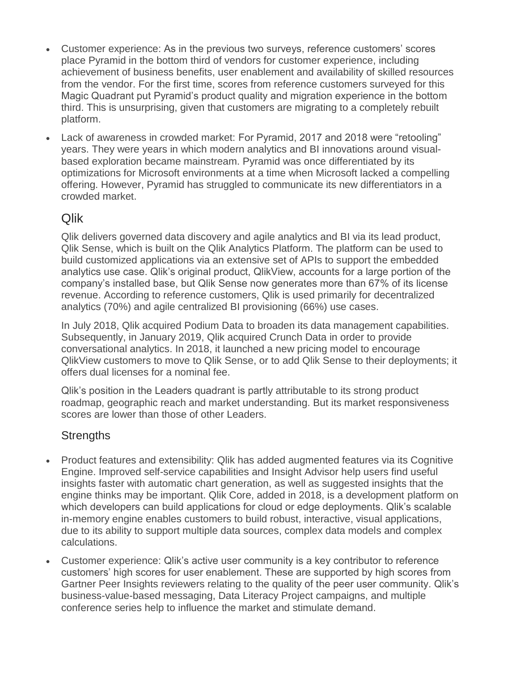- Customer experience: As in the previous two surveys, reference customers' scores place Pyramid in the bottom third of vendors for customer experience, including achievement of business benefits, user enablement and availability of skilled resources from the vendor. For the first time, scores from reference customers surveyed for this Magic Quadrant put Pyramid's product quality and migration experience in the bottom third. This is unsurprising, given that customers are migrating to a completely rebuilt platform.
- Lack of awareness in crowded market: For Pyramid, 2017 and 2018 were "retooling" years. They were years in which modern analytics and BI innovations around visualbased exploration became mainstream. Pyramid was once differentiated by its optimizations for Microsoft environments at a time when Microsoft lacked a compelling offering. However, Pyramid has struggled to communicate its new differentiators in a crowded market.

### Qlik

Qlik delivers governed data discovery and agile analytics and BI via its lead product, Qlik Sense, which is built on the Qlik Analytics Platform. The platform can be used to build customized applications via an extensive set of APIs to support the embedded analytics use case. Qlik's original product, QlikView, accounts for a large portion of the company's installed base, but Qlik Sense now generates more than 67% of its license revenue. According to reference customers, Qlik is used primarily for decentralized analytics (70%) and agile centralized BI provisioning (66%) use cases.

In July 2018, Qlik acquired Podium Data to broaden its data management capabilities. Subsequently, in January 2019, Qlik acquired Crunch Data in order to provide conversational analytics. In 2018, it launched a new pricing model to encourage QlikView customers to move to Qlik Sense, or to add Qlik Sense to their deployments; it offers dual licenses for a nominal fee.

Qlik's position in the Leaders quadrant is partly attributable to its strong product roadmap, geographic reach and market understanding. But its market responsiveness scores are lower than those of other Leaders.

#### **Strengths**

- Product features and extensibility: Qlik has added augmented features via its Cognitive Engine. Improved self-service capabilities and Insight Advisor help users find useful insights faster with automatic chart generation, as well as suggested insights that the engine thinks may be important. Qlik Core, added in 2018, is a development platform on which developers can build applications for cloud or edge deployments. Qlik's scalable in-memory engine enables customers to build robust, interactive, visual applications, due to its ability to support multiple data sources, complex data models and complex calculations.
- Customer experience: Qlik's active user community is a key contributor to reference customers' high scores for user enablement. These are supported by high scores from Gartner Peer Insights reviewers relating to the quality of the peer user community. Qlik's business-value-based messaging, Data Literacy Project campaigns, and multiple conference series help to influence the market and stimulate demand.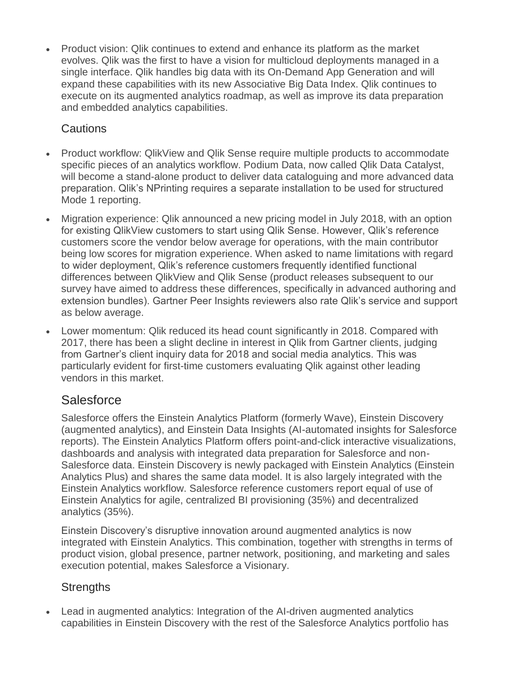Product vision: Qlik continues to extend and enhance its platform as the market evolves. Qlik was the first to have a vision for multicloud deployments managed in a single interface. Qlik handles big data with its On-Demand App Generation and will expand these capabilities with its new Associative Big Data Index. Qlik continues to execute on its augmented analytics roadmap, as well as improve its data preparation and embedded analytics capabilities.

#### **Cautions**

- Product workflow: QlikView and Qlik Sense require multiple products to accommodate specific pieces of an analytics workflow. Podium Data, now called Qlik Data Catalyst, will become a stand-alone product to deliver data cataloguing and more advanced data preparation. Qlik's NPrinting requires a separate installation to be used for structured Mode 1 reporting.
- Migration experience: Qlik announced a new pricing model in July 2018, with an option for existing QlikView customers to start using Qlik Sense. However, Qlik's reference customers score the vendor below average for operations, with the main contributor being low scores for migration experience. When asked to name limitations with regard to wider deployment, Qlik's reference customers frequently identified functional differences between QlikView and Qlik Sense (product releases subsequent to our survey have aimed to address these differences, specifically in advanced authoring and extension bundles). Gartner Peer Insights reviewers also rate Qlik's service and support as below average.
- Lower momentum: Qlik reduced its head count significantly in 2018. Compared with 2017, there has been a slight decline in interest in Qlik from Gartner clients, judging from Gartner's client inquiry data for 2018 and social media analytics. This was particularly evident for first-time customers evaluating Qlik against other leading vendors in this market.

## **Salesforce**

Salesforce offers the Einstein Analytics Platform (formerly Wave), Einstein Discovery (augmented analytics), and Einstein Data Insights (AI-automated insights for Salesforce reports). The Einstein Analytics Platform offers point-and-click interactive visualizations, dashboards and analysis with integrated data preparation for Salesforce and non-Salesforce data. Einstein Discovery is newly packaged with Einstein Analytics (Einstein Analytics Plus) and shares the same data model. It is also largely integrated with the Einstein Analytics workflow. Salesforce reference customers report equal of use of Einstein Analytics for agile, centralized BI provisioning (35%) and decentralized analytics (35%).

Einstein Discovery's disruptive innovation around augmented analytics is now integrated with Einstein Analytics. This combination, together with strengths in terms of product vision, global presence, partner network, positioning, and marketing and sales execution potential, makes Salesforce a Visionary.

#### **Strengths**

 Lead in augmented analytics: Integration of the AI-driven augmented analytics capabilities in Einstein Discovery with the rest of the Salesforce Analytics portfolio has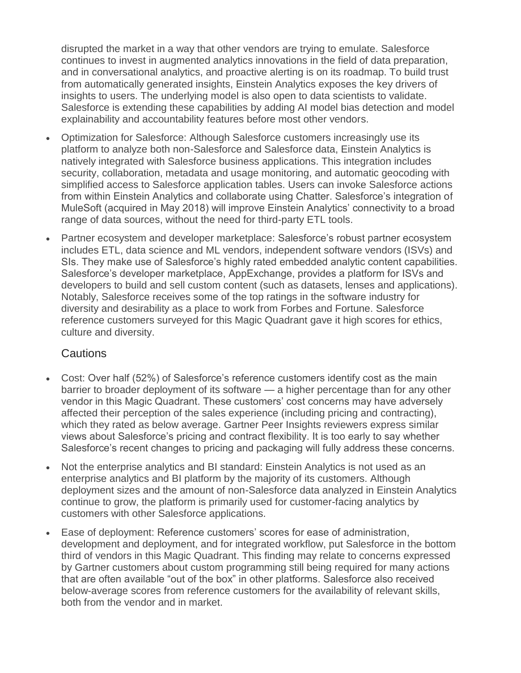disrupted the market in a way that other vendors are trying to emulate. Salesforce continues to invest in augmented analytics innovations in the field of data preparation, and in conversational analytics, and proactive alerting is on its roadmap. To build trust from automatically generated insights, Einstein Analytics exposes the key drivers of insights to users. The underlying model is also open to data scientists to validate. Salesforce is extending these capabilities by adding AI model bias detection and model explainability and accountability features before most other vendors.

- Optimization for Salesforce: Although Salesforce customers increasingly use its platform to analyze both non-Salesforce and Salesforce data, Einstein Analytics is natively integrated with Salesforce business applications. This integration includes security, collaboration, metadata and usage monitoring, and automatic geocoding with simplified access to Salesforce application tables. Users can invoke Salesforce actions from within Einstein Analytics and collaborate using Chatter. Salesforce's integration of MuleSoft (acquired in May 2018) will improve Einstein Analytics' connectivity to a broad range of data sources, without the need for third-party ETL tools.
- Partner ecosystem and developer marketplace: Salesforce's robust partner ecosystem includes ETL, data science and ML vendors, independent software vendors (ISVs) and SIs. They make use of Salesforce's highly rated embedded analytic content capabilities. Salesforce's developer marketplace, AppExchange, provides a platform for ISVs and developers to build and sell custom content (such as datasets, lenses and applications). Notably, Salesforce receives some of the top ratings in the software industry for diversity and desirability as a place to work from Forbes and Fortune. Salesforce reference customers surveyed for this Magic Quadrant gave it high scores for ethics, culture and diversity.

#### **Cautions**

- Cost: Over half (52%) of Salesforce's reference customers identify cost as the main barrier to broader deployment of its software — a higher percentage than for any other vendor in this Magic Quadrant. These customers' cost concerns may have adversely affected their perception of the sales experience (including pricing and contracting), which they rated as below average. Gartner Peer Insights reviewers express similar views about Salesforce's pricing and contract flexibility. It is too early to say whether Salesforce's recent changes to pricing and packaging will fully address these concerns.
- Not the enterprise analytics and BI standard: Einstein Analytics is not used as an enterprise analytics and BI platform by the majority of its customers. Although deployment sizes and the amount of non-Salesforce data analyzed in Einstein Analytics continue to grow, the platform is primarily used for customer-facing analytics by customers with other Salesforce applications.
- Ease of deployment: Reference customers' scores for ease of administration, development and deployment, and for integrated workflow, put Salesforce in the bottom third of vendors in this Magic Quadrant. This finding may relate to concerns expressed by Gartner customers about custom programming still being required for many actions that are often available "out of the box" in other platforms. Salesforce also received below-average scores from reference customers for the availability of relevant skills, both from the vendor and in market.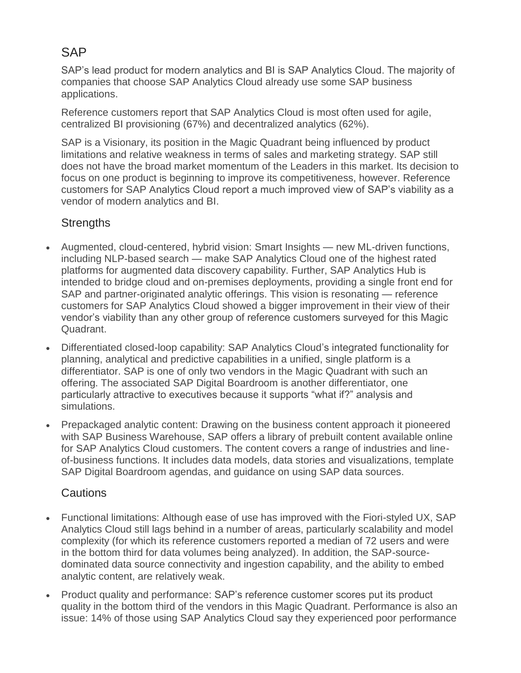## **SAP**

SAP's lead product for modern analytics and BI is SAP Analytics Cloud. The majority of companies that choose SAP Analytics Cloud already use some SAP business applications.

Reference customers report that SAP Analytics Cloud is most often used for agile, centralized BI provisioning (67%) and decentralized analytics (62%).

SAP is a Visionary, its position in the Magic Quadrant being influenced by product limitations and relative weakness in terms of sales and marketing strategy. SAP still does not have the broad market momentum of the Leaders in this market. Its decision to focus on one product is beginning to improve its competitiveness, however. Reference customers for SAP Analytics Cloud report a much improved view of SAP's viability as a vendor of modern analytics and BI.

#### **Strengths**

- Augmented, cloud-centered, hybrid vision: Smart Insights new ML-driven functions, including NLP-based search — make SAP Analytics Cloud one of the highest rated platforms for augmented data discovery capability. Further, SAP Analytics Hub is intended to bridge cloud and on-premises deployments, providing a single front end for SAP and partner-originated analytic offerings. This vision is resonating — reference customers for SAP Analytics Cloud showed a bigger improvement in their view of their vendor's viability than any other group of reference customers surveyed for this Magic Quadrant.
- Differentiated closed-loop capability: SAP Analytics Cloud's integrated functionality for planning, analytical and predictive capabilities in a unified, single platform is a differentiator. SAP is one of only two vendors in the Magic Quadrant with such an offering. The associated SAP Digital Boardroom is another differentiator, one particularly attractive to executives because it supports "what if?" analysis and simulations.
- Prepackaged analytic content: Drawing on the business content approach it pioneered with SAP Business Warehouse, SAP offers a library of prebuilt content available online for SAP Analytics Cloud customers. The content covers a range of industries and lineof-business functions. It includes data models, data stories and visualizations, template SAP Digital Boardroom agendas, and guidance on using SAP data sources.

#### **Cautions**

- Functional limitations: Although ease of use has improved with the Fiori-styled UX, SAP Analytics Cloud still lags behind in a number of areas, particularly scalability and model complexity (for which its reference customers reported a median of 72 users and were in the bottom third for data volumes being analyzed). In addition, the SAP-sourcedominated data source connectivity and ingestion capability, and the ability to embed analytic content, are relatively weak.
- Product quality and performance: SAP's reference customer scores put its product quality in the bottom third of the vendors in this Magic Quadrant. Performance is also an issue: 14% of those using SAP Analytics Cloud say they experienced poor performance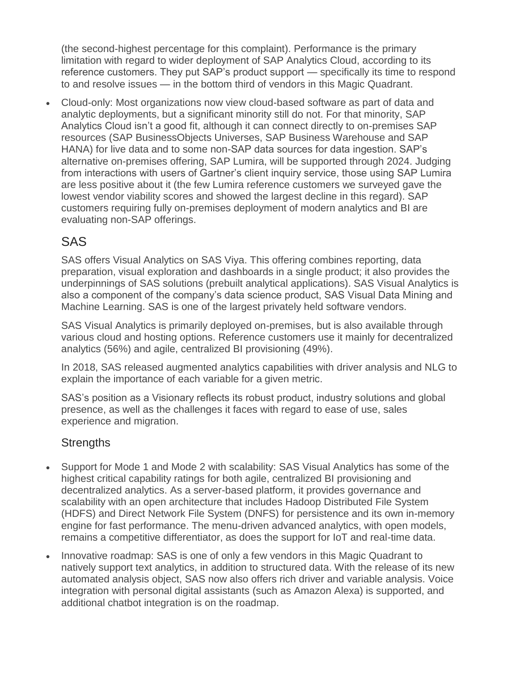(the second-highest percentage for this complaint). Performance is the primary limitation with regard to wider deployment of SAP Analytics Cloud, according to its reference customers. They put SAP's product support — specifically its time to respond to and resolve issues — in the bottom third of vendors in this Magic Quadrant.

 Cloud-only: Most organizations now view cloud-based software as part of data and analytic deployments, but a significant minority still do not. For that minority, SAP Analytics Cloud isn't a good fit, although it can connect directly to on-premises SAP resources (SAP BusinessObjects Universes, SAP Business Warehouse and SAP HANA) for live data and to some non-SAP data sources for data ingestion. SAP's alternative on-premises offering, SAP Lumira, will be supported through 2024. Judging from interactions with users of Gartner's client inquiry service, those using SAP Lumira are less positive about it (the few Lumira reference customers we surveyed gave the lowest vendor viability scores and showed the largest decline in this regard). SAP customers requiring fully on-premises deployment of modern analytics and BI are evaluating non-SAP offerings.

## SAS

SAS offers Visual Analytics on SAS Viya. This offering combines reporting, data preparation, visual exploration and dashboards in a single product; it also provides the underpinnings of SAS solutions (prebuilt analytical applications). SAS Visual Analytics is also a component of the company's data science product, SAS Visual Data Mining and Machine Learning. SAS is one of the largest privately held software vendors.

SAS Visual Analytics is primarily deployed on-premises, but is also available through various cloud and hosting options. Reference customers use it mainly for decentralized analytics (56%) and agile, centralized BI provisioning (49%).

In 2018, SAS released augmented analytics capabilities with driver analysis and NLG to explain the importance of each variable for a given metric.

SAS's position as a Visionary reflects its robust product, industry solutions and global presence, as well as the challenges it faces with regard to ease of use, sales experience and migration.

#### **Strengths**

- Support for Mode 1 and Mode 2 with scalability: SAS Visual Analytics has some of the highest critical capability ratings for both agile, centralized BI provisioning and decentralized analytics. As a server-based platform, it provides governance and scalability with an open architecture that includes Hadoop Distributed File System (HDFS) and Direct Network File System (DNFS) for persistence and its own in-memory engine for fast performance. The menu-driven advanced analytics, with open models, remains a competitive differentiator, as does the support for IoT and real-time data.
- Innovative roadmap: SAS is one of only a few vendors in this Magic Quadrant to natively support text analytics, in addition to structured data. With the release of its new automated analysis object, SAS now also offers rich driver and variable analysis. Voice integration with personal digital assistants (such as Amazon Alexa) is supported, and additional chatbot integration is on the roadmap.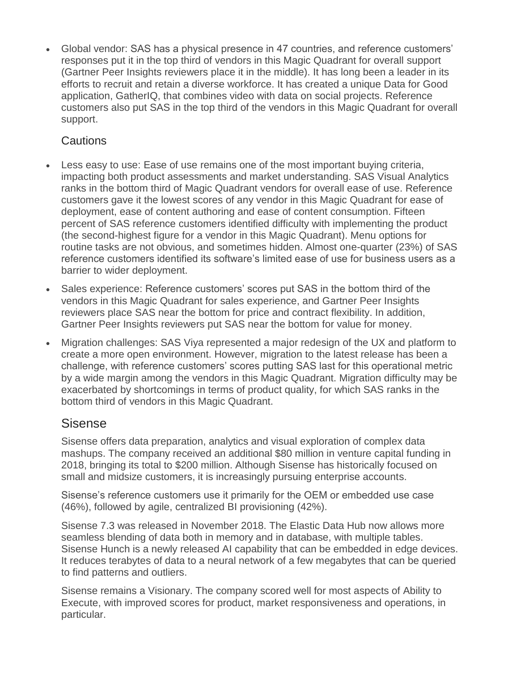Global vendor: SAS has a physical presence in 47 countries, and reference customers' responses put it in the top third of vendors in this Magic Quadrant for overall support (Gartner Peer Insights reviewers place it in the middle). It has long been a leader in its efforts to recruit and retain a diverse workforce. It has created a unique Data for Good application, GatherIQ, that combines video with data on social projects. Reference customers also put SAS in the top third of the vendors in this Magic Quadrant for overall support.

#### Cautions

- Less easy to use: Ease of use remains one of the most important buying criteria, impacting both product assessments and market understanding. SAS Visual Analytics ranks in the bottom third of Magic Quadrant vendors for overall ease of use. Reference customers gave it the lowest scores of any vendor in this Magic Quadrant for ease of deployment, ease of content authoring and ease of content consumption. Fifteen percent of SAS reference customers identified difficulty with implementing the product (the second-highest figure for a vendor in this Magic Quadrant). Menu options for routine tasks are not obvious, and sometimes hidden. Almost one-quarter (23%) of SAS reference customers identified its software's limited ease of use for business users as a barrier to wider deployment.
- Sales experience: Reference customers' scores put SAS in the bottom third of the vendors in this Magic Quadrant for sales experience, and Gartner Peer Insights reviewers place SAS near the bottom for price and contract flexibility. In addition, Gartner Peer Insights reviewers put SAS near the bottom for value for money.
- Migration challenges: SAS Viya represented a major redesign of the UX and platform to create a more open environment. However, migration to the latest release has been a challenge, with reference customers' scores putting SAS last for this operational metric by a wide margin among the vendors in this Magic Quadrant. Migration difficulty may be exacerbated by shortcomings in terms of product quality, for which SAS ranks in the bottom third of vendors in this Magic Quadrant.

### Sisense

Sisense offers data preparation, analytics and visual exploration of complex data mashups. The company received an additional \$80 million in venture capital funding in 2018, bringing its total to \$200 million. Although Sisense has historically focused on small and midsize customers, it is increasingly pursuing enterprise accounts.

Sisense's reference customers use it primarily for the OEM or embedded use case (46%), followed by agile, centralized BI provisioning (42%).

Sisense 7.3 was released in November 2018. The Elastic Data Hub now allows more seamless blending of data both in memory and in database, with multiple tables. Sisense Hunch is a newly released AI capability that can be embedded in edge devices. It reduces terabytes of data to a neural network of a few megabytes that can be queried to find patterns and outliers.

Sisense remains a Visionary. The company scored well for most aspects of Ability to Execute, with improved scores for product, market responsiveness and operations, in particular.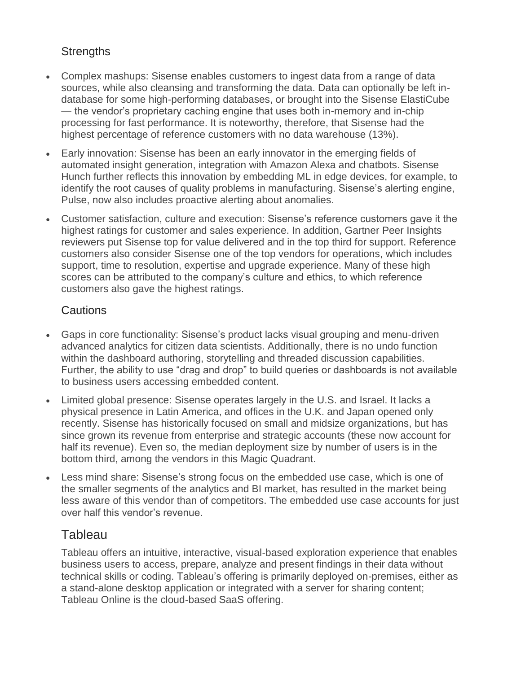#### **Strengths**

- Complex mashups: Sisense enables customers to ingest data from a range of data sources, while also cleansing and transforming the data. Data can optionally be left indatabase for some high-performing databases, or brought into the Sisense ElastiCube — the vendor's proprietary caching engine that uses both in-memory and in-chip processing for fast performance. It is noteworthy, therefore, that Sisense had the highest percentage of reference customers with no data warehouse (13%).
- Early innovation: Sisense has been an early innovator in the emerging fields of automated insight generation, integration with Amazon Alexa and chatbots. Sisense Hunch further reflects this innovation by embedding ML in edge devices, for example, to identify the root causes of quality problems in manufacturing. Sisense's alerting engine, Pulse, now also includes proactive alerting about anomalies.
- Customer satisfaction, culture and execution: Sisense's reference customers gave it the highest ratings for customer and sales experience. In addition, Gartner Peer Insights reviewers put Sisense top for value delivered and in the top third for support. Reference customers also consider Sisense one of the top vendors for operations, which includes support, time to resolution, expertise and upgrade experience. Many of these high scores can be attributed to the company's culture and ethics, to which reference customers also gave the highest ratings.

#### **Cautions**

- Gaps in core functionality: Sisense's product lacks visual grouping and menu-driven advanced analytics for citizen data scientists. Additionally, there is no undo function within the dashboard authoring, storytelling and threaded discussion capabilities. Further, the ability to use "drag and drop" to build queries or dashboards is not available to business users accessing embedded content.
- Limited global presence: Sisense operates largely in the U.S. and Israel. It lacks a physical presence in Latin America, and offices in the U.K. and Japan opened only recently. Sisense has historically focused on small and midsize organizations, but has since grown its revenue from enterprise and strategic accounts (these now account for half its revenue). Even so, the median deployment size by number of users is in the bottom third, among the vendors in this Magic Quadrant.
- Less mind share: Sisense's strong focus on the embedded use case, which is one of the smaller segments of the analytics and BI market, has resulted in the market being less aware of this vendor than of competitors. The embedded use case accounts for just over half this vendor's revenue.

#### **Tableau**

Tableau offers an intuitive, interactive, visual-based exploration experience that enables business users to access, prepare, analyze and present findings in their data without technical skills or coding. Tableau's offering is primarily deployed on-premises, either as a stand-alone desktop application or integrated with a server for sharing content; Tableau Online is the cloud-based SaaS offering.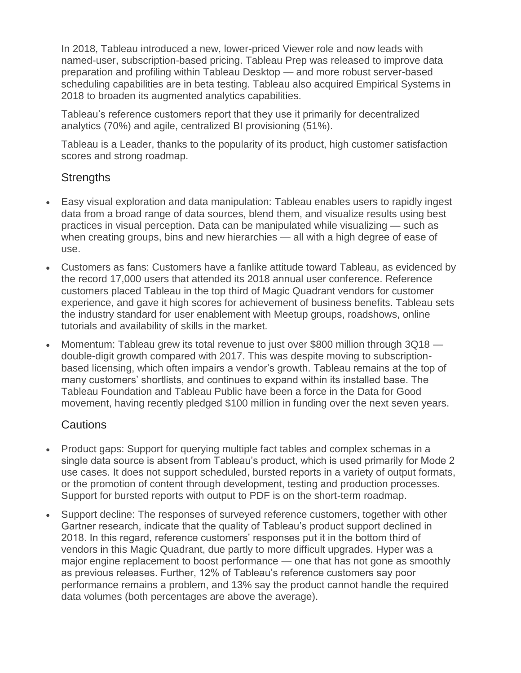In 2018, Tableau introduced a new, lower-priced Viewer role and now leads with named-user, subscription-based pricing. Tableau Prep was released to improve data preparation and profiling within Tableau Desktop — and more robust server-based scheduling capabilities are in beta testing. Tableau also acquired Empirical Systems in 2018 to broaden its augmented analytics capabilities.

Tableau's reference customers report that they use it primarily for decentralized analytics (70%) and agile, centralized BI provisioning (51%).

Tableau is a Leader, thanks to the popularity of its product, high customer satisfaction scores and strong roadmap.

#### **Strengths**

- Easy visual exploration and data manipulation: Tableau enables users to rapidly ingest data from a broad range of data sources, blend them, and visualize results using best practices in visual perception. Data can be manipulated while visualizing — such as when creating groups, bins and new hierarchies — all with a high degree of ease of use.
- Customers as fans: Customers have a fanlike attitude toward Tableau, as evidenced by the record 17,000 users that attended its 2018 annual user conference. Reference customers placed Tableau in the top third of Magic Quadrant vendors for customer experience, and gave it high scores for achievement of business benefits. Tableau sets the industry standard for user enablement with Meetup groups, roadshows, online tutorials and availability of skills in the market.
- Momentum: Tableau grew its total revenue to just over \$800 million through 3Q18 double-digit growth compared with 2017. This was despite moving to subscriptionbased licensing, which often impairs a vendor's growth. Tableau remains at the top of many customers' shortlists, and continues to expand within its installed base. The Tableau Foundation and Tableau Public have been a force in the Data for Good movement, having recently pledged \$100 million in funding over the next seven years.

#### Cautions

- Product gaps: Support for querying multiple fact tables and complex schemas in a single data source is absent from Tableau's product, which is used primarily for Mode 2 use cases. It does not support scheduled, bursted reports in a variety of output formats, or the promotion of content through development, testing and production processes. Support for bursted reports with output to PDF is on the short-term roadmap.
- Support decline: The responses of surveyed reference customers, together with other Gartner research, indicate that the quality of Tableau's product support declined in 2018. In this regard, reference customers' responses put it in the bottom third of vendors in this Magic Quadrant, due partly to more difficult upgrades. Hyper was a major engine replacement to boost performance — one that has not gone as smoothly as previous releases. Further, 12% of Tableau's reference customers say poor performance remains a problem, and 13% say the product cannot handle the required data volumes (both percentages are above the average).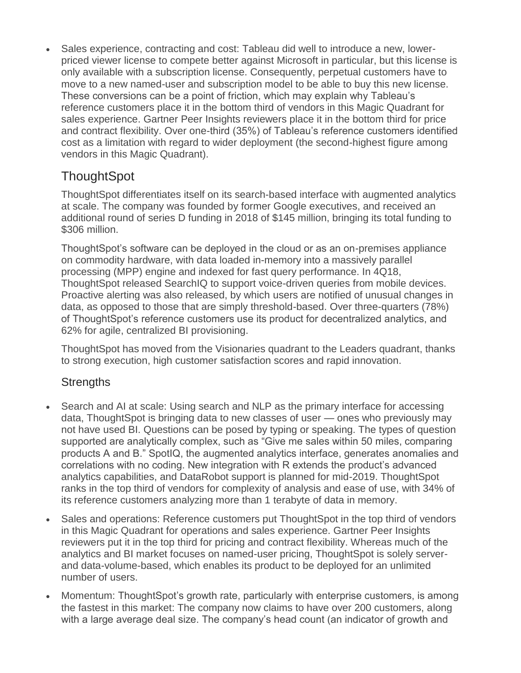Sales experience, contracting and cost: Tableau did well to introduce a new, lowerpriced viewer license to compete better against Microsoft in particular, but this license is only available with a subscription license. Consequently, perpetual customers have to move to a new named-user and subscription model to be able to buy this new license. These conversions can be a point of friction, which may explain why Tableau's reference customers place it in the bottom third of vendors in this Magic Quadrant for sales experience. Gartner Peer Insights reviewers place it in the bottom third for price and contract flexibility. Over one-third (35%) of Tableau's reference customers identified cost as a limitation with regard to wider deployment (the second-highest figure among vendors in this Magic Quadrant).

## **ThoughtSpot**

ThoughtSpot differentiates itself on its search-based interface with augmented analytics at scale. The company was founded by former Google executives, and received an additional round of series D funding in 2018 of \$145 million, bringing its total funding to \$306 million.

ThoughtSpot's software can be deployed in the cloud or as an on-premises appliance on commodity hardware, with data loaded in-memory into a massively parallel processing (MPP) engine and indexed for fast query performance. In 4Q18, ThoughtSpot released SearchIQ to support voice-driven queries from mobile devices. Proactive alerting was also released, by which users are notified of unusual changes in data, as opposed to those that are simply threshold-based. Over three-quarters (78%) of ThoughtSpot's reference customers use its product for decentralized analytics, and 62% for agile, centralized BI provisioning.

ThoughtSpot has moved from the Visionaries quadrant to the Leaders quadrant, thanks to strong execution, high customer satisfaction scores and rapid innovation.

#### **Strengths**

- Search and AI at scale: Using search and NLP as the primary interface for accessing data, ThoughtSpot is bringing data to new classes of user — ones who previously may not have used BI. Questions can be posed by typing or speaking. The types of question supported are analytically complex, such as "Give me sales within 50 miles, comparing products A and B." SpotIQ, the augmented analytics interface, generates anomalies and correlations with no coding. New integration with R extends the product's advanced analytics capabilities, and DataRobot support is planned for mid-2019. ThoughtSpot ranks in the top third of vendors for complexity of analysis and ease of use, with 34% of its reference customers analyzing more than 1 terabyte of data in memory.
- Sales and operations: Reference customers put ThoughtSpot in the top third of vendors in this Magic Quadrant for operations and sales experience. Gartner Peer Insights reviewers put it in the top third for pricing and contract flexibility. Whereas much of the analytics and BI market focuses on named-user pricing, ThoughtSpot is solely serverand data-volume-based, which enables its product to be deployed for an unlimited number of users.
- Momentum: ThoughtSpot's growth rate, particularly with enterprise customers, is among the fastest in this market: The company now claims to have over 200 customers, along with a large average deal size. The company's head count (an indicator of growth and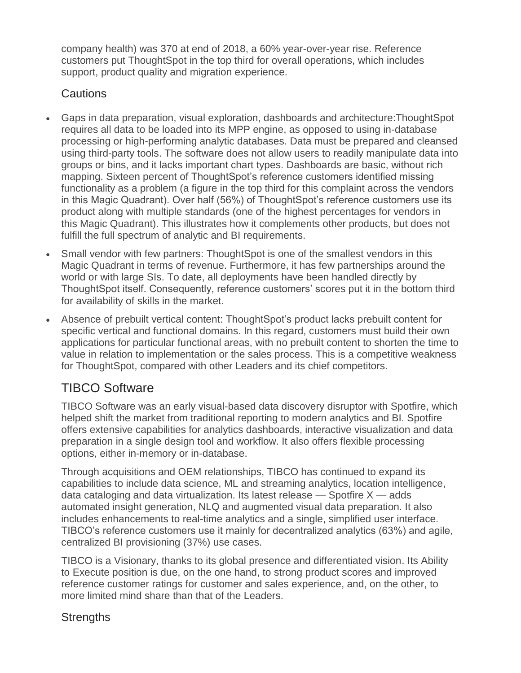company health) was 370 at end of 2018, a 60% year-over-year rise. Reference customers put ThoughtSpot in the top third for overall operations, which includes support, product quality and migration experience.

#### **Cautions**

- Gaps in data preparation, visual exploration, dashboards and architecture:ThoughtSpot requires all data to be loaded into its MPP engine, as opposed to using in-database processing or high-performing analytic databases. Data must be prepared and cleansed using third-party tools. The software does not allow users to readily manipulate data into groups or bins, and it lacks important chart types. Dashboards are basic, without rich mapping. Sixteen percent of ThoughtSpot's reference customers identified missing functionality as a problem (a figure in the top third for this complaint across the vendors in this Magic Quadrant). Over half (56%) of ThoughtSpot's reference customers use its product along with multiple standards (one of the highest percentages for vendors in this Magic Quadrant). This illustrates how it complements other products, but does not fulfill the full spectrum of analytic and BI requirements.
- Small vendor with few partners: ThoughtSpot is one of the smallest vendors in this Magic Quadrant in terms of revenue. Furthermore, it has few partnerships around the world or with large SIs. To date, all deployments have been handled directly by ThoughtSpot itself. Consequently, reference customers' scores put it in the bottom third for availability of skills in the market.
- Absence of prebuilt vertical content: ThoughtSpot's product lacks prebuilt content for specific vertical and functional domains. In this regard, customers must build their own applications for particular functional areas, with no prebuilt content to shorten the time to value in relation to implementation or the sales process. This is a competitive weakness for ThoughtSpot, compared with other Leaders and its chief competitors.

## TIBCO Software

TIBCO Software was an early visual-based data discovery disruptor with Spotfire, which helped shift the market from traditional reporting to modern analytics and BI. Spotfire offers extensive capabilities for analytics dashboards, interactive visualization and data preparation in a single design tool and workflow. It also offers flexible processing options, either in-memory or in-database.

Through acquisitions and OEM relationships, TIBCO has continued to expand its capabilities to include data science, ML and streaming analytics, location intelligence, data cataloging and data virtualization. Its latest release  $-$  Spotfire  $X -$  adds automated insight generation, NLQ and augmented visual data preparation. It also includes enhancements to real-time analytics and a single, simplified user interface. TIBCO's reference customers use it mainly for decentralized analytics (63%) and agile, centralized BI provisioning (37%) use cases.

TIBCO is a Visionary, thanks to its global presence and differentiated vision. Its Ability to Execute position is due, on the one hand, to strong product scores and improved reference customer ratings for customer and sales experience, and, on the other, to more limited mind share than that of the Leaders.

#### **Strengths**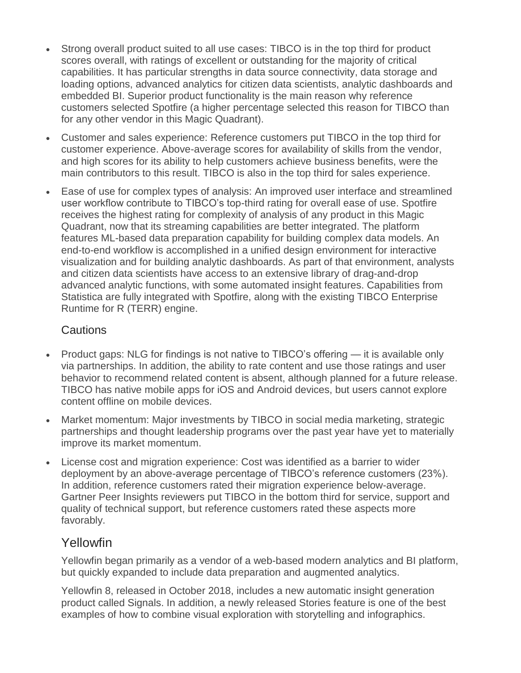- Strong overall product suited to all use cases: TIBCO is in the top third for product scores overall, with ratings of excellent or outstanding for the majority of critical capabilities. It has particular strengths in data source connectivity, data storage and loading options, advanced analytics for citizen data scientists, analytic dashboards and embedded BI. Superior product functionality is the main reason why reference customers selected Spotfire (a higher percentage selected this reason for TIBCO than for any other vendor in this Magic Quadrant).
- Customer and sales experience: Reference customers put TIBCO in the top third for customer experience. Above-average scores for availability of skills from the vendor, and high scores for its ability to help customers achieve business benefits, were the main contributors to this result. TIBCO is also in the top third for sales experience.
- Ease of use for complex types of analysis: An improved user interface and streamlined user workflow contribute to TIBCO's top-third rating for overall ease of use. Spotfire receives the highest rating for complexity of analysis of any product in this Magic Quadrant, now that its streaming capabilities are better integrated. The platform features ML-based data preparation capability for building complex data models. An end-to-end workflow is accomplished in a unified design environment for interactive visualization and for building analytic dashboards. As part of that environment, analysts and citizen data scientists have access to an extensive library of drag-and-drop advanced analytic functions, with some automated insight features. Capabilities from Statistica are fully integrated with Spotfire, along with the existing TIBCO Enterprise Runtime for R (TERR) engine.

#### Cautions

- Product gaps: NLG for findings is not native to TIBCO's offering  $-$  it is available only via partnerships. In addition, the ability to rate content and use those ratings and user behavior to recommend related content is absent, although planned for a future release. TIBCO has native mobile apps for iOS and Android devices, but users cannot explore content offline on mobile devices.
- Market momentum: Major investments by TIBCO in social media marketing, strategic partnerships and thought leadership programs over the past year have yet to materially improve its market momentum.
- License cost and migration experience: Cost was identified as a barrier to wider deployment by an above-average percentage of TIBCO's reference customers (23%). In addition, reference customers rated their migration experience below-average. Gartner Peer Insights reviewers put TIBCO in the bottom third for service, support and quality of technical support, but reference customers rated these aspects more favorably.

### Yellowfin

Yellowfin began primarily as a vendor of a web-based modern analytics and BI platform, but quickly expanded to include data preparation and augmented analytics.

Yellowfin 8, released in October 2018, includes a new automatic insight generation product called Signals. In addition, a newly released Stories feature is one of the best examples of how to combine visual exploration with storytelling and infographics.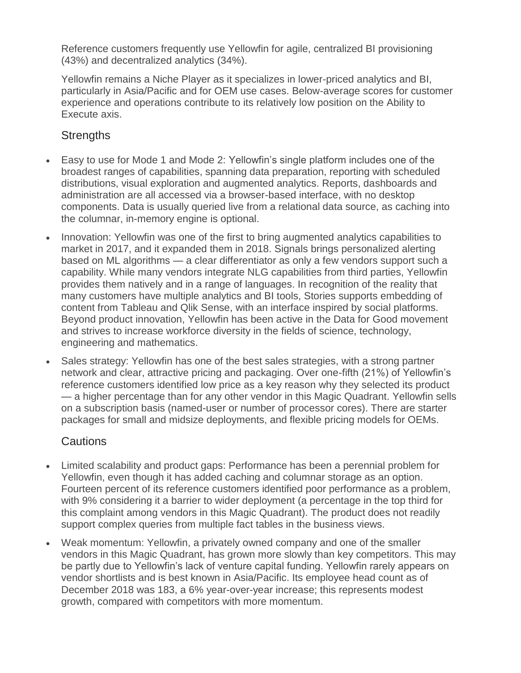Reference customers frequently use Yellowfin for agile, centralized BI provisioning (43%) and decentralized analytics (34%).

Yellowfin remains a Niche Player as it specializes in lower-priced analytics and BI, particularly in Asia/Pacific and for OEM use cases. Below-average scores for customer experience and operations contribute to its relatively low position on the Ability to Execute axis.

#### **Strengths**

- Easy to use for Mode 1 and Mode 2: Yellowfin's single platform includes one of the broadest ranges of capabilities, spanning data preparation, reporting with scheduled distributions, visual exploration and augmented analytics. Reports, dashboards and administration are all accessed via a browser-based interface, with no desktop components. Data is usually queried live from a relational data source, as caching into the columnar, in-memory engine is optional.
- Innovation: Yellowfin was one of the first to bring augmented analytics capabilities to market in 2017, and it expanded them in 2018. Signals brings personalized alerting based on ML algorithms — a clear differentiator as only a few vendors support such a capability. While many vendors integrate NLG capabilities from third parties, Yellowfin provides them natively and in a range of languages. In recognition of the reality that many customers have multiple analytics and BI tools, Stories supports embedding of content from Tableau and Qlik Sense, with an interface inspired by social platforms. Beyond product innovation, Yellowfin has been active in the Data for Good movement and strives to increase workforce diversity in the fields of science, technology, engineering and mathematics.
- Sales strategy: Yellowfin has one of the best sales strategies, with a strong partner network and clear, attractive pricing and packaging. Over one-fifth (21%) of Yellowfin's reference customers identified low price as a key reason why they selected its product — a higher percentage than for any other vendor in this Magic Quadrant. Yellowfin sells on a subscription basis (named-user or number of processor cores). There are starter packages for small and midsize deployments, and flexible pricing models for OEMs.

#### **Cautions**

- Limited scalability and product gaps: Performance has been a perennial problem for Yellowfin, even though it has added caching and columnar storage as an option. Fourteen percent of its reference customers identified poor performance as a problem, with 9% considering it a barrier to wider deployment (a percentage in the top third for this complaint among vendors in this Magic Quadrant). The product does not readily support complex queries from multiple fact tables in the business views.
- Weak momentum: Yellowfin, a privately owned company and one of the smaller vendors in this Magic Quadrant, has grown more slowly than key competitors. This may be partly due to Yellowfin's lack of venture capital funding. Yellowfin rarely appears on vendor shortlists and is best known in Asia/Pacific. Its employee head count as of December 2018 was 183, a 6% year-over-year increase; this represents modest growth, compared with competitors with more momentum.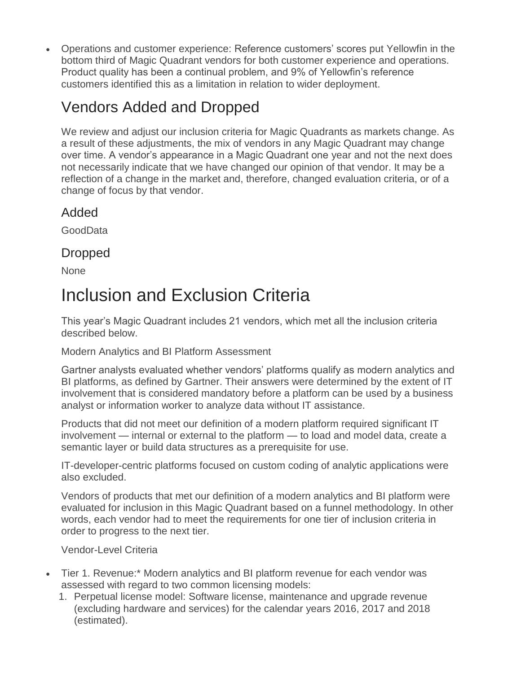Operations and customer experience: Reference customers' scores put Yellowfin in the bottom third of Magic Quadrant vendors for both customer experience and operations. Product quality has been a continual problem, and 9% of Yellowfin's reference customers identified this as a limitation in relation to wider deployment.

## Vendors Added and Dropped

We review and adjust our inclusion criteria for Magic Quadrants as markets change. As a result of these adjustments, the mix of vendors in any Magic Quadrant may change over time. A vendor's appearance in a Magic Quadrant one year and not the next does not necessarily indicate that we have changed our opinion of that vendor. It may be a reflection of a change in the market and, therefore, changed evaluation criteria, or of a change of focus by that vendor.

### Added

GoodData

## Dropped

None

## Inclusion and Exclusion Criteria

This year's Magic Quadrant includes 21 vendors, which met all the inclusion criteria described below.

#### Modern Analytics and BI Platform Assessment

Gartner analysts evaluated whether vendors' platforms qualify as modern analytics and BI platforms, as defined by Gartner. Their answers were determined by the extent of IT involvement that is considered mandatory before a platform can be used by a business analyst or information worker to analyze data without IT assistance.

Products that did not meet our definition of a modern platform required significant IT involvement — internal or external to the platform — to load and model data, create a semantic layer or build data structures as a prerequisite for use.

IT-developer-centric platforms focused on custom coding of analytic applications were also excluded.

Vendors of products that met our definition of a modern analytics and BI platform were evaluated for inclusion in this Magic Quadrant based on a funnel methodology. In other words, each vendor had to meet the requirements for one tier of inclusion criteria in order to progress to the next tier.

Vendor-Level Criteria

- Tier 1. Revenue:\* Modern analytics and BI platform revenue for each vendor was assessed with regard to two common licensing models:
	- 1. Perpetual license model: Software license, maintenance and upgrade revenue (excluding hardware and services) for the calendar years 2016, 2017 and 2018 (estimated).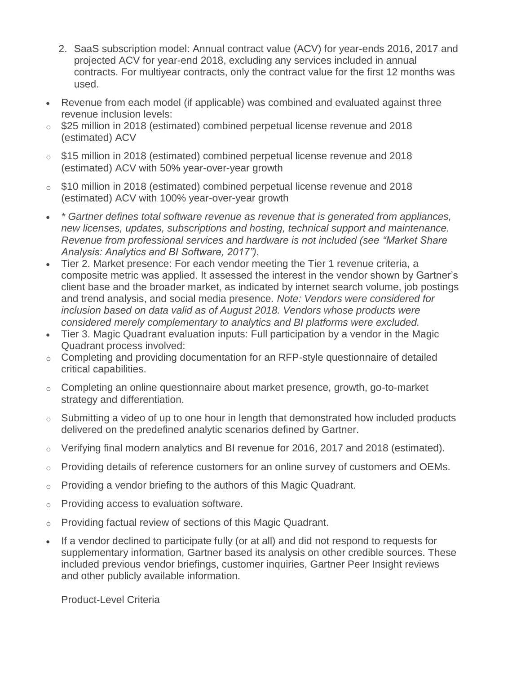- 2. SaaS subscription model: Annual contract value (ACV) for year-ends 2016, 2017 and projected ACV for year-end 2018, excluding any services included in annual contracts. For multiyear contracts, only the contract value for the first 12 months was used.
- Revenue from each model (if applicable) was combined and evaluated against three revenue inclusion levels:
- o \$25 million in 2018 (estimated) combined perpetual license revenue and 2018 (estimated) ACV
- o \$15 million in 2018 (estimated) combined perpetual license revenue and 2018 (estimated) ACV with 50% year-over-year growth
- o \$10 million in 2018 (estimated) combined perpetual license revenue and 2018 (estimated) ACV with 100% year-over-year growth
- *\* Gartner defines total software revenue as revenue that is generated from appliances, new licenses, updates, subscriptions and hosting, technical support and maintenance. Revenue from professional services and hardware is not included (see "Market Share Analysis: Analytics and BI Software, 2017").*
- Tier 2. Market presence: For each vendor meeting the Tier 1 revenue criteria, a composite metric was applied. It assessed the interest in the vendor shown by Gartner's client base and the broader market, as indicated by internet search volume, job postings and trend analysis, and social media presence. *Note: Vendors were considered for inclusion based on data valid as of August 2018. Vendors whose products were considered merely complementary to analytics and BI platforms were excluded.*
- Tier 3. Magic Quadrant evaluation inputs: Full participation by a vendor in the Magic Quadrant process involved:
- o Completing and providing documentation for an RFP-style questionnaire of detailed critical capabilities.
- o Completing an online questionnaire about market presence, growth, go-to-market strategy and differentiation.
- $\circ$  Submitting a video of up to one hour in length that demonstrated how included products delivered on the predefined analytic scenarios defined by Gartner.
- o Verifying final modern analytics and BI revenue for 2016, 2017 and 2018 (estimated).
- $\circ$  Providing details of reference customers for an online survey of customers and OEMs.
- $\circ$  Providing a vendor briefing to the authors of this Magic Quadrant.
- o Providing access to evaluation software.
- o Providing factual review of sections of this Magic Quadrant.
- If a vendor declined to participate fully (or at all) and did not respond to requests for supplementary information, Gartner based its analysis on other credible sources. These included previous vendor briefings, customer inquiries, Gartner Peer Insight reviews and other publicly available information.

Product-Level Criteria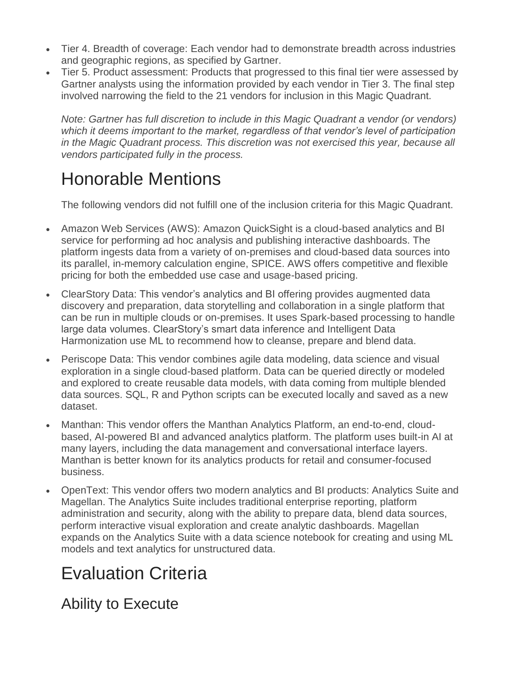- Tier 4. Breadth of coverage: Each vendor had to demonstrate breadth across industries and geographic regions, as specified by Gartner.
- Tier 5. Product assessment: Products that progressed to this final tier were assessed by Gartner analysts using the information provided by each vendor in Tier 3. The final step involved narrowing the field to the 21 vendors for inclusion in this Magic Quadrant.

*Note: Gartner has full discretion to include in this Magic Quadrant a vendor (or vendors) which it deems important to the market, regardless of that vendor's level of participation in the Magic Quadrant process. This discretion was not exercised this year, because all vendors participated fully in the process.*

## Honorable Mentions

The following vendors did not fulfill one of the inclusion criteria for this Magic Quadrant.

- Amazon Web Services (AWS): Amazon QuickSight is a cloud-based analytics and BI service for performing ad hoc analysis and publishing interactive dashboards. The platform ingests data from a variety of on-premises and cloud-based data sources into its parallel, in-memory calculation engine, SPICE. AWS offers competitive and flexible pricing for both the embedded use case and usage-based pricing.
- ClearStory Data: This vendor's analytics and BI offering provides augmented data discovery and preparation, data storytelling and collaboration in a single platform that can be run in multiple clouds or on-premises. It uses Spark-based processing to handle large data volumes. ClearStory's smart data inference and Intelligent Data Harmonization use ML to recommend how to cleanse, prepare and blend data.
- Periscope Data: This vendor combines agile data modeling, data science and visual exploration in a single cloud-based platform. Data can be queried directly or modeled and explored to create reusable data models, with data coming from multiple blended data sources. SQL, R and Python scripts can be executed locally and saved as a new dataset.
- Manthan: This vendor offers the Manthan Analytics Platform, an end-to-end, cloudbased, AI-powered BI and advanced analytics platform. The platform uses built-in AI at many layers, including the data management and conversational interface layers. Manthan is better known for its analytics products for retail and consumer-focused business.
- OpenText: This vendor offers two modern analytics and BI products: Analytics Suite and Magellan. The Analytics Suite includes traditional enterprise reporting, platform administration and security, along with the ability to prepare data, blend data sources, perform interactive visual exploration and create analytic dashboards. Magellan expands on the Analytics Suite with a data science notebook for creating and using ML models and text analytics for unstructured data.

## Evaluation Criteria

Ability to Execute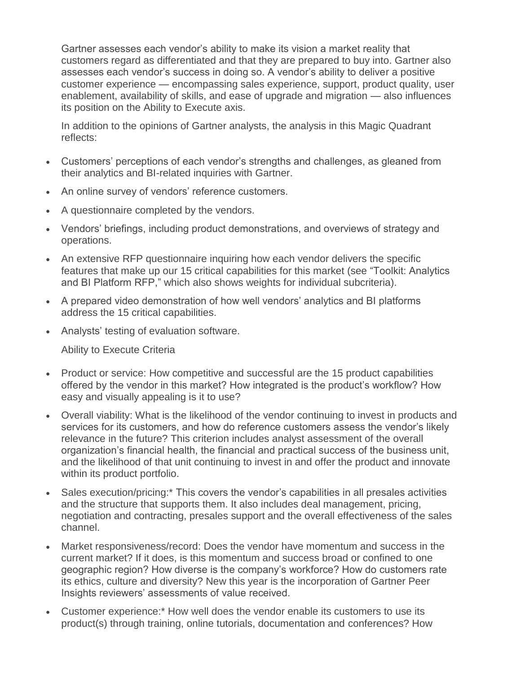Gartner assesses each vendor's ability to make its vision a market reality that customers regard as differentiated and that they are prepared to buy into. Gartner also assesses each vendor's success in doing so. A vendor's ability to deliver a positive customer experience — encompassing sales experience, support, product quality, user enablement, availability of skills, and ease of upgrade and migration — also influences its position on the Ability to Execute axis.

In addition to the opinions of Gartner analysts, the analysis in this Magic Quadrant reflects:

- Customers' perceptions of each vendor's strengths and challenges, as gleaned from their analytics and BI-related inquiries with Gartner.
- An online survey of vendors' reference customers.
- A questionnaire completed by the vendors.
- Vendors' briefings, including product demonstrations, and overviews of strategy and operations.
- An extensive RFP questionnaire inquiring how each vendor delivers the specific features that make up our 15 critical capabilities for this market (see "Toolkit: Analytics and BI Platform RFP," which also shows weights for individual subcriteria).
- A prepared video demonstration of how well vendors' analytics and BI platforms address the 15 critical capabilities.
- Analysts' testing of evaluation software.

Ability to Execute Criteria

- Product or service: How competitive and successful are the 15 product capabilities offered by the vendor in this market? How integrated is the product's workflow? How easy and visually appealing is it to use?
- Overall viability: What is the likelihood of the vendor continuing to invest in products and services for its customers, and how do reference customers assess the vendor's likely relevance in the future? This criterion includes analyst assessment of the overall organization's financial health, the financial and practical success of the business unit, and the likelihood of that unit continuing to invest in and offer the product and innovate within its product portfolio.
- Sales execution/pricing:\* This covers the vendor's capabilities in all presales activities and the structure that supports them. It also includes deal management, pricing, negotiation and contracting, presales support and the overall effectiveness of the sales channel.
- Market responsiveness/record: Does the vendor have momentum and success in the current market? If it does, is this momentum and success broad or confined to one geographic region? How diverse is the company's workforce? How do customers rate its ethics, culture and diversity? New this year is the incorporation of Gartner Peer Insights reviewers' assessments of value received.
- Customer experience:\* How well does the vendor enable its customers to use its product(s) through training, online tutorials, documentation and conferences? How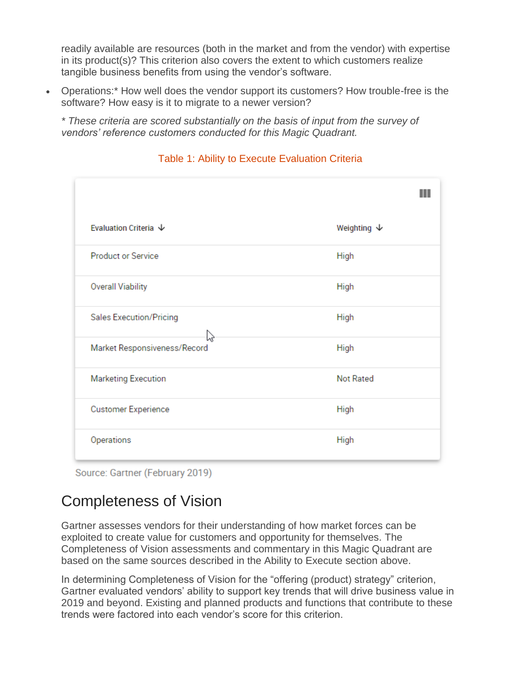readily available are resources (both in the market and from the vendor) with expertise in its product(s)? This criterion also covers the extent to which customers realize tangible business benefits from using the vendor's software.

 Operations:\* How well does the vendor support its customers? How trouble-free is the software? How easy is it to migrate to a newer version?

*\* These criteria are scored substantially on the basis of input from the survey of vendors' reference customers conducted for this Magic Quadrant.*



Table 1: Ability to Execute Evaluation Criteria

Source: Gartner (February 2019)

## Completeness of Vision

Gartner assesses vendors for their understanding of how market forces can be exploited to create value for customers and opportunity for themselves. The Completeness of Vision assessments and commentary in this Magic Quadrant are based on the same sources described in the Ability to Execute section above.

In determining Completeness of Vision for the "offering (product) strategy" criterion, Gartner evaluated vendors' ability to support key trends that will drive business value in 2019 and beyond. Existing and planned products and functions that contribute to these trends were factored into each vendor's score for this criterion.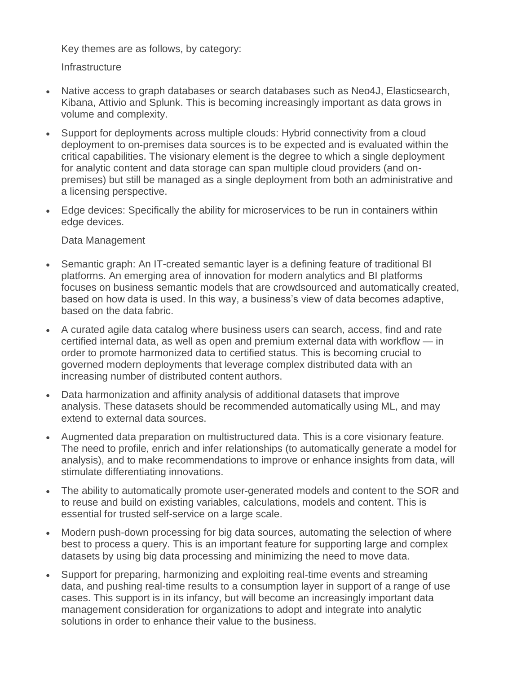Key themes are as follows, by category:

**Infrastructure** 

- Native access to graph databases or search databases such as Neo4J, Elasticsearch, Kibana, Attivio and Splunk. This is becoming increasingly important as data grows in volume and complexity.
- Support for deployments across multiple clouds: Hybrid connectivity from a cloud deployment to on-premises data sources is to be expected and is evaluated within the critical capabilities. The visionary element is the degree to which a single deployment for analytic content and data storage can span multiple cloud providers (and onpremises) but still be managed as a single deployment from both an administrative and a licensing perspective.
- Edge devices: Specifically the ability for microservices to be run in containers within edge devices.

Data Management

- Semantic graph: An IT-created semantic layer is a defining feature of traditional BI platforms. An emerging area of innovation for modern analytics and BI platforms focuses on business semantic models that are crowdsourced and automatically created, based on how data is used. In this way, a business's view of data becomes adaptive, based on the data fabric.
- A curated agile data catalog where business users can search, access, find and rate certified internal data, as well as open and premium external data with workflow — in order to promote harmonized data to certified status. This is becoming crucial to governed modern deployments that leverage complex distributed data with an increasing number of distributed content authors.
- Data harmonization and affinity analysis of additional datasets that improve analysis. These datasets should be recommended automatically using ML, and may extend to external data sources.
- Augmented data preparation on multistructured data. This is a core visionary feature. The need to profile, enrich and infer relationships (to automatically generate a model for analysis), and to make recommendations to improve or enhance insights from data, will stimulate differentiating innovations.
- The ability to automatically promote user-generated models and content to the SOR and to reuse and build on existing variables, calculations, models and content. This is essential for trusted self-service on a large scale.
- Modern push-down processing for big data sources, automating the selection of where best to process a query. This is an important feature for supporting large and complex datasets by using big data processing and minimizing the need to move data.
- Support for preparing, harmonizing and exploiting real-time events and streaming data, and pushing real-time results to a consumption layer in support of a range of use cases. This support is in its infancy, but will become an increasingly important data management consideration for organizations to adopt and integrate into analytic solutions in order to enhance their value to the business.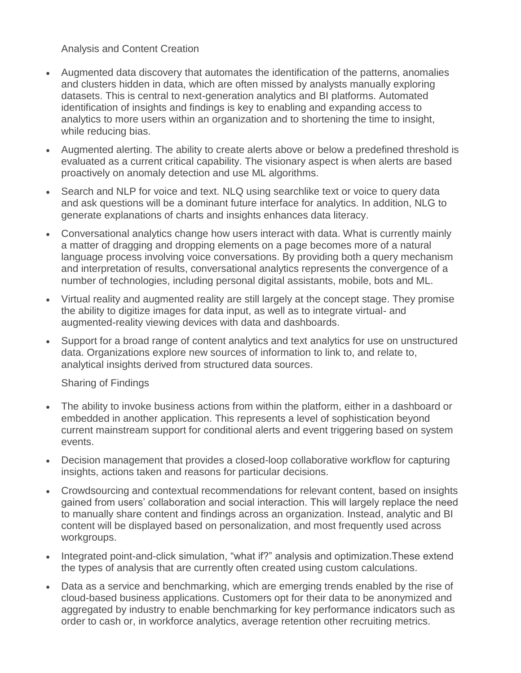Analysis and Content Creation

- Augmented data discovery that automates the identification of the patterns, anomalies and clusters hidden in data, which are often missed by analysts manually exploring datasets. This is central to next-generation analytics and BI platforms. Automated identification of insights and findings is key to enabling and expanding access to analytics to more users within an organization and to shortening the time to insight, while reducing bias.
- Augmented alerting. The ability to create alerts above or below a predefined threshold is evaluated as a current critical capability. The visionary aspect is when alerts are based proactively on anomaly detection and use ML algorithms.
- Search and NLP for voice and text. NLQ using searchlike text or voice to query data and ask questions will be a dominant future interface for analytics. In addition, NLG to generate explanations of charts and insights enhances data literacy.
- Conversational analytics change how users interact with data. What is currently mainly a matter of dragging and dropping elements on a page becomes more of a natural language process involving voice conversations. By providing both a query mechanism and interpretation of results, conversational analytics represents the convergence of a number of technologies, including personal digital assistants, mobile, bots and ML.
- Virtual reality and augmented reality are still largely at the concept stage. They promise the ability to digitize images for data input, as well as to integrate virtual- and augmented-reality viewing devices with data and dashboards.
- Support for a broad range of content analytics and text analytics for use on unstructured data. Organizations explore new sources of information to link to, and relate to, analytical insights derived from structured data sources.

Sharing of Findings

- The ability to invoke business actions from within the platform, either in a dashboard or embedded in another application. This represents a level of sophistication beyond current mainstream support for conditional alerts and event triggering based on system events.
- Decision management that provides a closed-loop collaborative workflow for capturing insights, actions taken and reasons for particular decisions.
- Crowdsourcing and contextual recommendations for relevant content, based on insights gained from users' collaboration and social interaction. This will largely replace the need to manually share content and findings across an organization. Instead, analytic and BI content will be displayed based on personalization, and most frequently used across workgroups.
- Integrated point-and-click simulation, "what if?" analysis and optimization. These extend the types of analysis that are currently often created using custom calculations.
- Data as a service and benchmarking, which are emerging trends enabled by the rise of cloud-based business applications. Customers opt for their data to be anonymized and aggregated by industry to enable benchmarking for key performance indicators such as order to cash or, in workforce analytics, average retention other recruiting metrics.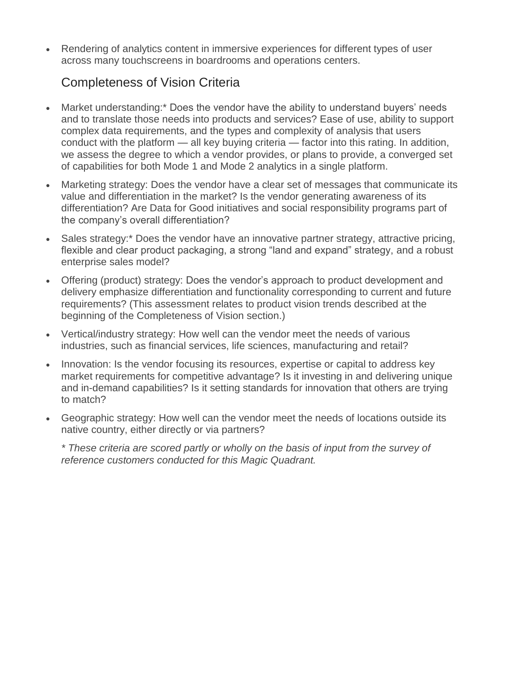Rendering of analytics content in immersive experiences for different types of user across many touchscreens in boardrooms and operations centers.

### Completeness of Vision Criteria

- Market understanding:\* Does the vendor have the ability to understand buyers' needs and to translate those needs into products and services? Ease of use, ability to support complex data requirements, and the types and complexity of analysis that users conduct with the platform — all key buying criteria — factor into this rating. In addition, we assess the degree to which a vendor provides, or plans to provide, a converged set of capabilities for both Mode 1 and Mode 2 analytics in a single platform.
- Marketing strategy: Does the vendor have a clear set of messages that communicate its value and differentiation in the market? Is the vendor generating awareness of its differentiation? Are Data for Good initiatives and social responsibility programs part of the company's overall differentiation?
- Sales strategy:\* Does the vendor have an innovative partner strategy, attractive pricing, flexible and clear product packaging, a strong "land and expand" strategy, and a robust enterprise sales model?
- Offering (product) strategy: Does the vendor's approach to product development and delivery emphasize differentiation and functionality corresponding to current and future requirements? (This assessment relates to product vision trends described at the beginning of the Completeness of Vision section.)
- Vertical/industry strategy: How well can the vendor meet the needs of various industries, such as financial services, life sciences, manufacturing and retail?
- Innovation: Is the vendor focusing its resources, expertise or capital to address key market requirements for competitive advantage? Is it investing in and delivering unique and in-demand capabilities? Is it setting standards for innovation that others are trying to match?
- Geographic strategy: How well can the vendor meet the needs of locations outside its native country, either directly or via partners?

*\* These criteria are scored partly or wholly on the basis of input from the survey of reference customers conducted for this Magic Quadrant.*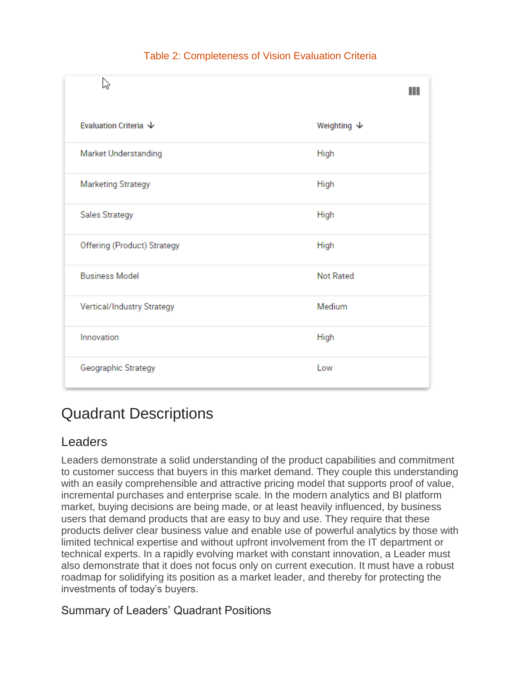| 5N                          | ш                      |
|-----------------------------|------------------------|
| Evaluation Criteria ↓       | Weighting $\downarrow$ |
| <b>Market Understanding</b> | High                   |
| <b>Marketing Strategy</b>   | High                   |
| Sales Strategy              | High                   |
| Offering (Product) Strategy | High                   |
| <b>Business Model</b>       | <b>Not Rated</b>       |
| Vertical/Industry Strategy  | Medium                 |
| Innovation                  | <b>High</b>            |
| Geographic Strategy         | Low                    |

#### Table 2: Completeness of Vision Evaluation Criteria

## Quadrant Descriptions

## Leaders

Leaders demonstrate a solid understanding of the product capabilities and commitment to customer success that buyers in this market demand. They couple this understanding with an easily comprehensible and attractive pricing model that supports proof of value, incremental purchases and enterprise scale. In the modern analytics and BI platform market, buying decisions are being made, or at least heavily influenced, by business users that demand products that are easy to buy and use. They require that these products deliver clear business value and enable use of powerful analytics by those with limited technical expertise and without upfront involvement from the IT department or technical experts. In a rapidly evolving market with constant innovation, a Leader must also demonstrate that it does not focus only on current execution. It must have a robust roadmap for solidifying its position as a market leader, and thereby for protecting the investments of today's buyers.

#### Summary of Leaders' Quadrant Positions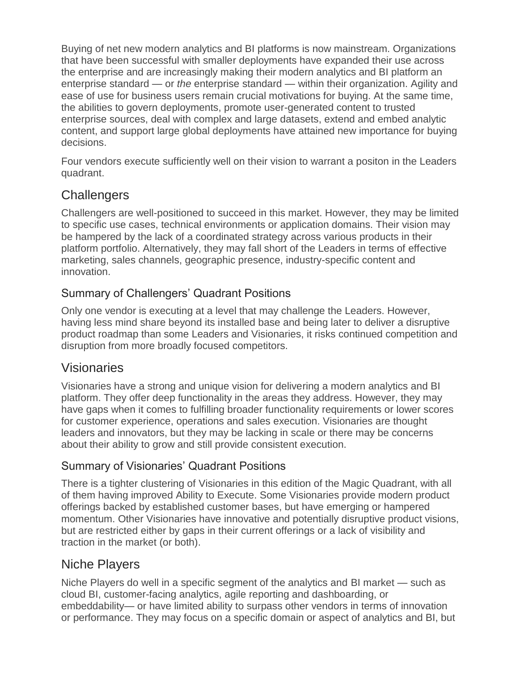Buying of net new modern analytics and BI platforms is now mainstream. Organizations that have been successful with smaller deployments have expanded their use across the enterprise and are increasingly making their modern analytics and BI platform an enterprise standard — or *the* enterprise standard — within their organization. Agility and ease of use for business users remain crucial motivations for buying. At the same time, the abilities to govern deployments, promote user-generated content to trusted enterprise sources, deal with complex and large datasets, extend and embed analytic content, and support large global deployments have attained new importance for buying decisions.

Four vendors execute sufficiently well on their vision to warrant a positon in the Leaders quadrant.

## **Challengers**

Challengers are well-positioned to succeed in this market. However, they may be limited to specific use cases, technical environments or application domains. Their vision may be hampered by the lack of a coordinated strategy across various products in their platform portfolio. Alternatively, they may fall short of the Leaders in terms of effective marketing, sales channels, geographic presence, industry-specific content and innovation.

### Summary of Challengers' Quadrant Positions

Only one vendor is executing at a level that may challenge the Leaders. However, having less mind share beyond its installed base and being later to deliver a disruptive product roadmap than some Leaders and Visionaries, it risks continued competition and disruption from more broadly focused competitors.

### Visionaries

Visionaries have a strong and unique vision for delivering a modern analytics and BI platform. They offer deep functionality in the areas they address. However, they may have gaps when it comes to fulfilling broader functionality requirements or lower scores for customer experience, operations and sales execution. Visionaries are thought leaders and innovators, but they may be lacking in scale or there may be concerns about their ability to grow and still provide consistent execution.

### Summary of Visionaries' Quadrant Positions

There is a tighter clustering of Visionaries in this edition of the Magic Quadrant, with all of them having improved Ability to Execute. Some Visionaries provide modern product offerings backed by established customer bases, but have emerging or hampered momentum. Other Visionaries have innovative and potentially disruptive product visions, but are restricted either by gaps in their current offerings or a lack of visibility and traction in the market (or both).

## Niche Players

Niche Players do well in a specific segment of the analytics and BI market — such as cloud BI, customer-facing analytics, agile reporting and dashboarding, or embeddability— or have limited ability to surpass other vendors in terms of innovation or performance. They may focus on a specific domain or aspect of analytics and BI, but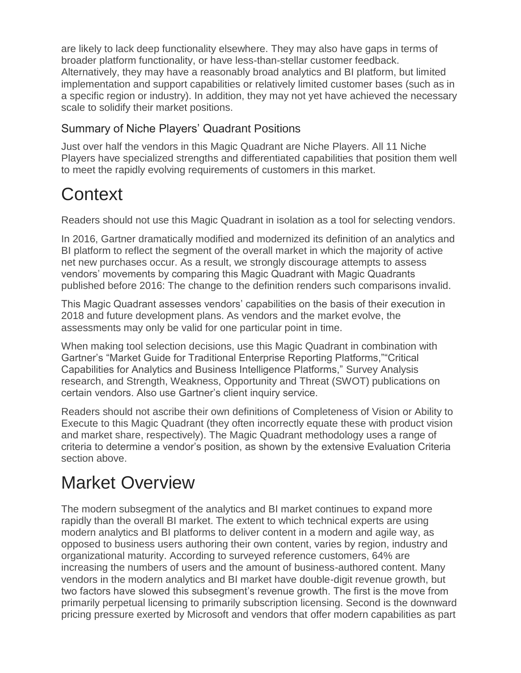are likely to lack deep functionality elsewhere. They may also have gaps in terms of broader platform functionality, or have less-than-stellar customer feedback. Alternatively, they may have a reasonably broad analytics and BI platform, but limited implementation and support capabilities or relatively limited customer bases (such as in a specific region or industry). In addition, they may not yet have achieved the necessary scale to solidify their market positions.

### Summary of Niche Players' Quadrant Positions

Just over half the vendors in this Magic Quadrant are Niche Players. All 11 Niche Players have specialized strengths and differentiated capabilities that position them well to meet the rapidly evolving requirements of customers in this market.

## **Context**

Readers should not use this Magic Quadrant in isolation as a tool for selecting vendors.

In 2016, Gartner dramatically modified and modernized its definition of an analytics and BI platform to reflect the segment of the overall market in which the majority of active net new purchases occur. As a result, we strongly discourage attempts to assess vendors' movements by comparing this Magic Quadrant with Magic Quadrants published before 2016: The change to the definition renders such comparisons invalid.

This Magic Quadrant assesses vendors' capabilities on the basis of their execution in 2018 and future development plans. As vendors and the market evolve, the assessments may only be valid for one particular point in time.

When making tool selection decisions, use this Magic Quadrant in combination with Gartner's "Market Guide for Traditional Enterprise Reporting Platforms,""Critical Capabilities for Analytics and Business Intelligence Platforms," Survey Analysis research, and Strength, Weakness, Opportunity and Threat (SWOT) publications on certain vendors. Also use Gartner's client inquiry service.

Readers should not ascribe their own definitions of Completeness of Vision or Ability to Execute to this Magic Quadrant (they often incorrectly equate these with product vision and market share, respectively). The Magic Quadrant methodology uses a range of criteria to determine a vendor's position, as shown by the extensive Evaluation Criteria section above.

## Market Overview

The modern subsegment of the analytics and BI market continues to expand more rapidly than the overall BI market. The extent to which technical experts are using modern analytics and BI platforms to deliver content in a modern and agile way, as opposed to business users authoring their own content, varies by region, industry and organizational maturity. According to surveyed reference customers, 64% are increasing the numbers of users and the amount of business-authored content. Many vendors in the modern analytics and BI market have double-digit revenue growth, but two factors have slowed this subsegment's revenue growth. The first is the move from primarily perpetual licensing to primarily subscription licensing. Second is the downward pricing pressure exerted by Microsoft and vendors that offer modern capabilities as part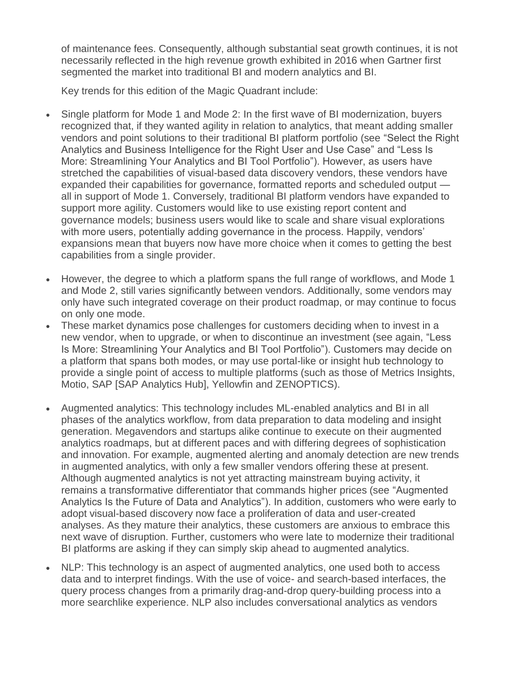of maintenance fees. Consequently, although substantial seat growth continues, it is not necessarily reflected in the high revenue growth exhibited in 2016 when Gartner first segmented the market into traditional BI and modern analytics and BI.

Key trends for this edition of the Magic Quadrant include:

- Single platform for Mode 1 and Mode 2: In the first wave of BI modernization, buyers recognized that, if they wanted agility in relation to analytics, that meant adding smaller vendors and point solutions to their traditional BI platform portfolio (see "Select the Right Analytics and Business Intelligence for the Right User and Use Case" and "Less Is More: Streamlining Your Analytics and BI Tool Portfolio"). However, as users have stretched the capabilities of visual-based data discovery vendors, these vendors have expanded their capabilities for governance, formatted reports and scheduled output all in support of Mode 1. Conversely, traditional BI platform vendors have expanded to support more agility. Customers would like to use existing report content and governance models; business users would like to scale and share visual explorations with more users, potentially adding governance in the process. Happily, vendors' expansions mean that buyers now have more choice when it comes to getting the best capabilities from a single provider.
- However, the degree to which a platform spans the full range of workflows, and Mode 1 and Mode 2, still varies significantly between vendors. Additionally, some vendors may only have such integrated coverage on their product roadmap, or may continue to focus on only one mode.
- These market dynamics pose challenges for customers deciding when to invest in a new vendor, when to upgrade, or when to discontinue an investment (see again, "Less Is More: Streamlining Your Analytics and BI Tool Portfolio"). Customers may decide on a platform that spans both modes, or may use portal-like or insight hub technology to provide a single point of access to multiple platforms (such as those of Metrics Insights, Motio, SAP [SAP Analytics Hub], Yellowfin and ZENOPTICS).
- Augmented analytics: This technology includes ML-enabled analytics and BI in all phases of the analytics workflow, from data preparation to data modeling and insight generation. Megavendors and startups alike continue to execute on their augmented analytics roadmaps, but at different paces and with differing degrees of sophistication and innovation. For example, augmented alerting and anomaly detection are new trends in augmented analytics, with only a few smaller vendors offering these at present. Although augmented analytics is not yet attracting mainstream buying activity, it remains a transformative differentiator that commands higher prices (see "Augmented Analytics Is the Future of Data and Analytics"). In addition, customers who were early to adopt visual-based discovery now face a proliferation of data and user-created analyses. As they mature their analytics, these customers are anxious to embrace this next wave of disruption. Further, customers who were late to modernize their traditional BI platforms are asking if they can simply skip ahead to augmented analytics.
- NLP: This technology is an aspect of augmented analytics, one used both to access data and to interpret findings. With the use of voice- and search-based interfaces, the query process changes from a primarily drag-and-drop query-building process into a more searchlike experience. NLP also includes conversational analytics as vendors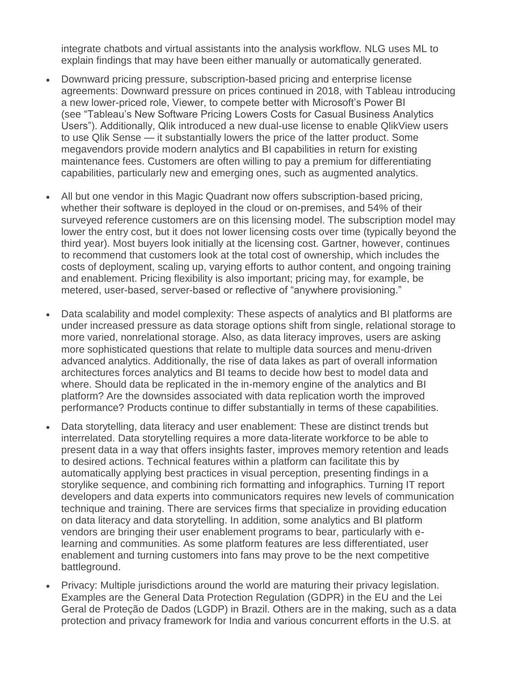integrate chatbots and virtual assistants into the analysis workflow. NLG uses ML to explain findings that may have been either manually or automatically generated.

- Downward pricing pressure, subscription-based pricing and enterprise license agreements: Downward pressure on prices continued in 2018, with Tableau introducing a new lower-priced role, Viewer, to compete better with Microsoft's Power BI (see "Tableau's New Software Pricing Lowers Costs for Casual Business Analytics Users"). Additionally, Qlik introduced a new dual-use license to enable QlikView users to use Qlik Sense — it substantially lowers the price of the latter product. Some megavendors provide modern analytics and BI capabilities in return for existing maintenance fees. Customers are often willing to pay a premium for differentiating capabilities, particularly new and emerging ones, such as augmented analytics.
- All but one vendor in this Magic Quadrant now offers subscription-based pricing, whether their software is deployed in the cloud or on-premises, and 54% of their surveyed reference customers are on this licensing model. The subscription model may lower the entry cost, but it does not lower licensing costs over time (typically beyond the third year). Most buyers look initially at the licensing cost. Gartner, however, continues to recommend that customers look at the total cost of ownership, which includes the costs of deployment, scaling up, varying efforts to author content, and ongoing training and enablement. Pricing flexibility is also important; pricing may, for example, be metered, user-based, server-based or reflective of "anywhere provisioning."
- Data scalability and model complexity: These aspects of analytics and BI platforms are under increased pressure as data storage options shift from single, relational storage to more varied, nonrelational storage. Also, as data literacy improves, users are asking more sophisticated questions that relate to multiple data sources and menu-driven advanced analytics. Additionally, the rise of data lakes as part of overall information architectures forces analytics and BI teams to decide how best to model data and where. Should data be replicated in the in-memory engine of the analytics and BI platform? Are the downsides associated with data replication worth the improved performance? Products continue to differ substantially in terms of these capabilities.
- Data storytelling, data literacy and user enablement: These are distinct trends but interrelated. Data storytelling requires a more data-literate workforce to be able to present data in a way that offers insights faster, improves memory retention and leads to desired actions. Technical features within a platform can facilitate this by automatically applying best practices in visual perception, presenting findings in a storylike sequence, and combining rich formatting and infographics. Turning IT report developers and data experts into communicators requires new levels of communication technique and training. There are services firms that specialize in providing education on data literacy and data storytelling. In addition, some analytics and BI platform vendors are bringing their user enablement programs to bear, particularly with elearning and communities. As some platform features are less differentiated, user enablement and turning customers into fans may prove to be the next competitive battleground.
- Privacy: Multiple jurisdictions around the world are maturing their privacy legislation. Examples are the General Data Protection Regulation (GDPR) in the EU and the Lei Geral de Proteção de Dados (LGDP) in Brazil. Others are in the making, such as a data protection and privacy framework for India and various concurrent efforts in the U.S. at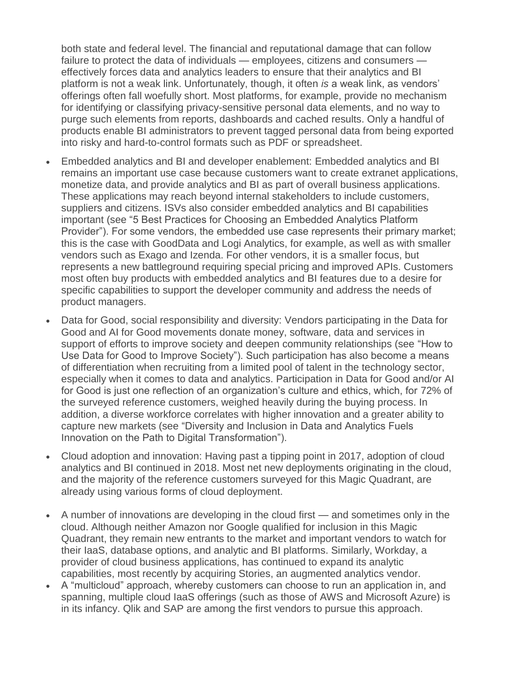both state and federal level. The financial and reputational damage that can follow failure to protect the data of individuals — employees, citizens and consumers effectively forces data and analytics leaders to ensure that their analytics and BI platform is not a weak link. Unfortunately, though, it often *is* a weak link, as vendors' offerings often fall woefully short. Most platforms, for example, provide no mechanism for identifying or classifying privacy-sensitive personal data elements, and no way to purge such elements from reports, dashboards and cached results. Only a handful of products enable BI administrators to prevent tagged personal data from being exported into risky and hard-to-control formats such as PDF or spreadsheet.

- Embedded analytics and BI and developer enablement: Embedded analytics and BI remains an important use case because customers want to create extranet applications, monetize data, and provide analytics and BI as part of overall business applications. These applications may reach beyond internal stakeholders to include customers, suppliers and citizens. ISVs also consider embedded analytics and BI capabilities important (see "5 Best Practices for Choosing an Embedded Analytics Platform Provider"). For some vendors, the embedded use case represents their primary market; this is the case with GoodData and Logi Analytics, for example, as well as with smaller vendors such as Exago and Izenda. For other vendors, it is a smaller focus, but represents a new battleground requiring special pricing and improved APIs. Customers most often buy products with embedded analytics and BI features due to a desire for specific capabilities to support the developer community and address the needs of product managers.
- Data for Good, social responsibility and diversity: Vendors participating in the Data for Good and AI for Good movements donate money, software, data and services in support of efforts to improve society and deepen community relationships (see "How to Use Data for Good to Improve Society"). Such participation has also become a means of differentiation when recruiting from a limited pool of talent in the technology sector, especially when it comes to data and analytics. Participation in Data for Good and/or AI for Good is just one reflection of an organization's culture and ethics, which, for 72% of the surveyed reference customers, weighed heavily during the buying process. In addition, a diverse workforce correlates with higher innovation and a greater ability to capture new markets (see "Diversity and Inclusion in Data and Analytics Fuels Innovation on the Path to Digital Transformation").
- Cloud adoption and innovation: Having past a tipping point in 2017, adoption of cloud analytics and BI continued in 2018. Most net new deployments originating in the cloud, and the majority of the reference customers surveyed for this Magic Quadrant, are already using various forms of cloud deployment.
- A number of innovations are developing in the cloud first and sometimes only in the cloud. Although neither Amazon nor Google qualified for inclusion in this Magic Quadrant, they remain new entrants to the market and important vendors to watch for their IaaS, database options, and analytic and BI platforms. Similarly, Workday, a provider of cloud business applications, has continued to expand its analytic capabilities, most recently by acquiring Stories, an augmented analytics vendor.
- A "multicloud" approach, whereby customers can choose to run an application in, and spanning, multiple cloud IaaS offerings (such as those of AWS and Microsoft Azure) is in its infancy. Qlik and SAP are among the first vendors to pursue this approach.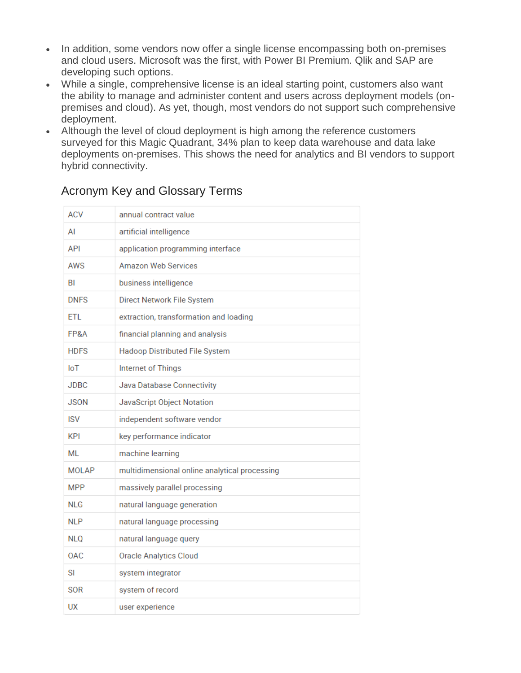- In addition, some vendors now offer a single license encompassing both on-premises and cloud users. Microsoft was the first, with Power BI Premium. Qlik and SAP are developing such options.
- While a single, comprehensive license is an ideal starting point, customers also want the ability to manage and administer content and users across deployment models (onpremises and cloud). As yet, though, most vendors do not support such comprehensive deployment.
- Although the level of cloud deployment is high among the reference customers surveyed for this Magic Quadrant, 34% plan to keep data warehouse and data lake deployments on-premises. This shows the need for analytics and BI vendors to support hybrid connectivity.

| <b>ACV</b>   | annual contract value                         |
|--------------|-----------------------------------------------|
| ΑI           | artificial intelligence                       |
| API          | application programming interface             |
| AWS          | <b>Amazon Web Services</b>                    |
| BI           | business intelligence                         |
| <b>DNFS</b>  | Direct Network File System                    |
| <b>ETL</b>   | extraction, transformation and loading        |
| FP&A         | financial planning and analysis               |
| <b>HDFS</b>  | Hadoop Distributed File System                |
| <b>IoT</b>   | Internet of Things                            |
| <b>JDBC</b>  | Java Database Connectivity                    |
| <b>JSON</b>  | JavaScript Object Notation                    |
| <b>ISV</b>   | independent software vendor                   |
| <b>KPI</b>   | key performance indicator                     |
| ML           | machine learning                              |
| <b>MOLAP</b> | multidimensional online analytical processing |
| <b>MPP</b>   | massively parallel processing                 |
| <b>NLG</b>   | natural language generation                   |
| <b>NLP</b>   | natural language processing                   |
| <b>NLQ</b>   | natural language query                        |
| <b>OAC</b>   | <b>Oracle Analytics Cloud</b>                 |
| SI           | system integrator                             |
| SOR          | system of record                              |
| UX           | user experience                               |

#### Acronym Key and Glossary Terms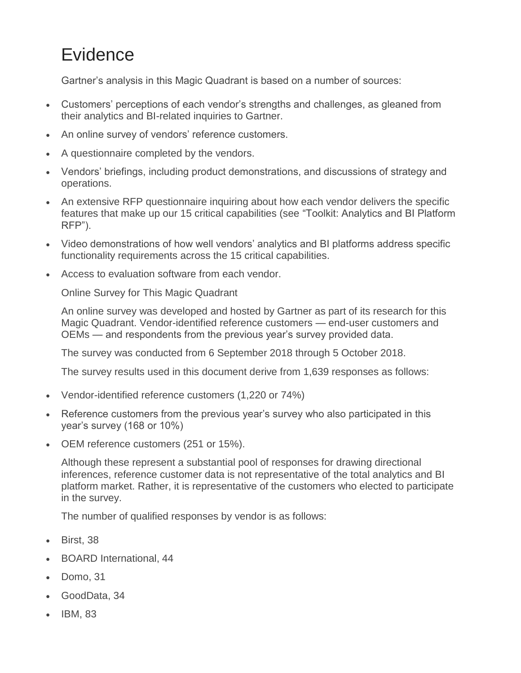## **Evidence**

Gartner's analysis in this Magic Quadrant is based on a number of sources:

- Customers' perceptions of each vendor's strengths and challenges, as gleaned from their analytics and BI-related inquiries to Gartner.
- An online survey of vendors' reference customers.
- A questionnaire completed by the vendors.
- Vendors' briefings, including product demonstrations, and discussions of strategy and operations.
- An extensive RFP questionnaire inquiring about how each vendor delivers the specific features that make up our 15 critical capabilities (see "Toolkit: Analytics and BI Platform RFP").
- Video demonstrations of how well vendors' analytics and BI platforms address specific functionality requirements across the 15 critical capabilities.
- Access to evaluation software from each vendor.

Online Survey for This Magic Quadrant

An online survey was developed and hosted by Gartner as part of its research for this Magic Quadrant. Vendor-identified reference customers — end-user customers and OEMs — and respondents from the previous year's survey provided data.

The survey was conducted from 6 September 2018 through 5 October 2018.

The survey results used in this document derive from 1,639 responses as follows:

- Vendor-identified reference customers (1,220 or 74%)
- Reference customers from the previous year's survey who also participated in this year's survey (168 or 10%)
- OEM reference customers (251 or 15%).

Although these represent a substantial pool of responses for drawing directional inferences, reference customer data is not representative of the total analytics and BI platform market. Rather, it is representative of the customers who elected to participate in the survey.

The number of qualified responses by vendor is as follows:

- Birst, 38
- BOARD International, 44
- Domo, 31
- GoodData, 34
- IBM, 83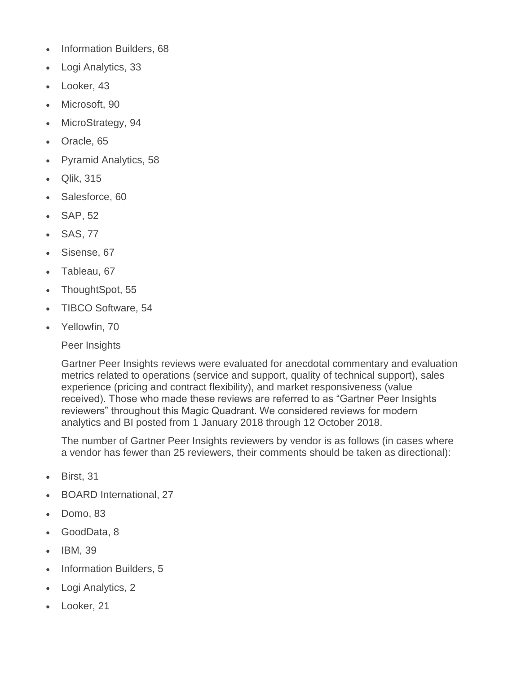- Information Builders, 68
- Logi Analytics, 33
- Looker, 43
- Microsoft, 90
- MicroStrategy, 94
- Oracle, 65
- Pyramid Analytics, 58
- Qlik, 315
- Salesforce, 60
- SAP, 52
- SAS, 77
- Sisense, 67
- Tableau, 67
- ThoughtSpot, 55
- TIBCO Software, 54
- Yellowfin, 70

Peer Insights

Gartner Peer Insights reviews were evaluated for anecdotal commentary and evaluation metrics related to operations (service and support, quality of technical support), sales experience (pricing and contract flexibility), and market responsiveness (value received). Those who made these reviews are referred to as "Gartner Peer Insights reviewers" throughout this Magic Quadrant. We considered reviews for modern analytics and BI posted from 1 January 2018 through 12 October 2018.

The number of Gartner Peer Insights reviewers by vendor is as follows (in cases where a vendor has fewer than 25 reviewers, their comments should be taken as directional):

- Birst, 31
- BOARD International, 27
- Domo, 83
- GoodData, 8
- IBM, 39
- Information Builders, 5
- Logi Analytics, 2
- Looker, 21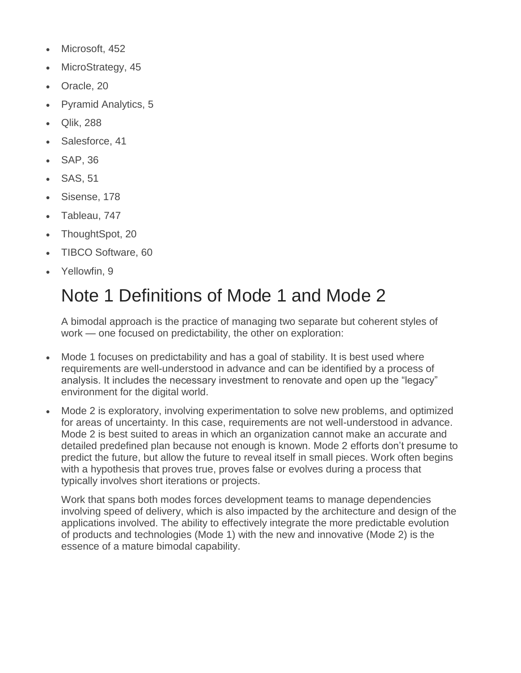- Microsoft, 452
- MicroStrategy, 45
- Oracle, 20
- Pyramid Analytics, 5
- Qlik, 288
- Salesforce, 41
- SAP, 36
- SAS, 51
- Sisense, 178
- Tableau, 747
- ThoughtSpot, 20
- TIBCO Software, 60
- Yellowfin, 9

## Note 1 Definitions of Mode 1 and Mode 2

A bimodal approach is the practice of managing two separate but coherent styles of work — one focused on predictability, the other on exploration:

- Mode 1 focuses on predictability and has a goal of stability. It is best used where requirements are well-understood in advance and can be identified by a process of analysis. It includes the necessary investment to renovate and open up the "legacy" environment for the digital world.
- Mode 2 is exploratory, involving experimentation to solve new problems, and optimized for areas of uncertainty. In this case, requirements are not well-understood in advance. Mode 2 is best suited to areas in which an organization cannot make an accurate and detailed predefined plan because not enough is known. Mode 2 efforts don't presume to predict the future, but allow the future to reveal itself in small pieces. Work often begins with a hypothesis that proves true, proves false or evolves during a process that typically involves short iterations or projects.

Work that spans both modes forces development teams to manage dependencies involving speed of delivery, which is also impacted by the architecture and design of the applications involved. The ability to effectively integrate the more predictable evolution of products and technologies (Mode 1) with the new and innovative (Mode 2) is the essence of a mature bimodal capability.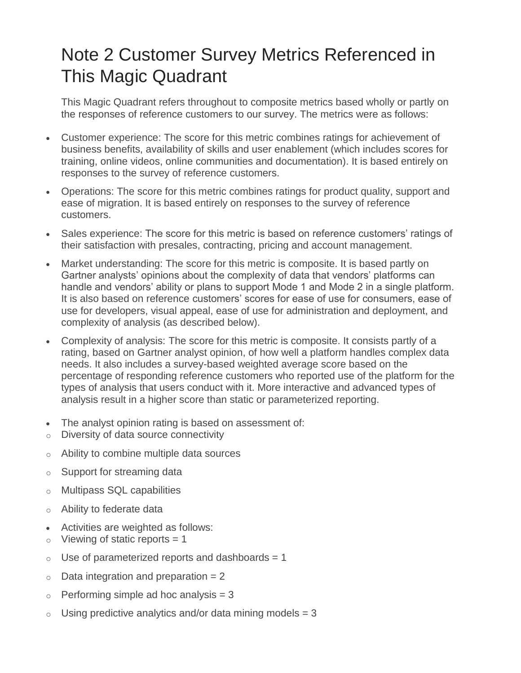## Note 2 Customer Survey Metrics Referenced in This Magic Quadrant

This Magic Quadrant refers throughout to composite metrics based wholly or partly on the responses of reference customers to our survey. The metrics were as follows:

- Customer experience: The score for this metric combines ratings for achievement of business benefits, availability of skills and user enablement (which includes scores for training, online videos, online communities and documentation). It is based entirely on responses to the survey of reference customers.
- Operations: The score for this metric combines ratings for product quality, support and ease of migration. It is based entirely on responses to the survey of reference customers.
- Sales experience: The score for this metric is based on reference customers' ratings of their satisfaction with presales, contracting, pricing and account management.
- Market understanding: The score for this metric is composite. It is based partly on Gartner analysts' opinions about the complexity of data that vendors' platforms can handle and vendors' ability or plans to support Mode 1 and Mode 2 in a single platform. It is also based on reference customers' scores for ease of use for consumers, ease of use for developers, visual appeal, ease of use for administration and deployment, and complexity of analysis (as described below).
- Complexity of analysis: The score for this metric is composite. It consists partly of a rating, based on Gartner analyst opinion, of how well a platform handles complex data needs. It also includes a survey-based weighted average score based on the percentage of responding reference customers who reported use of the platform for the types of analysis that users conduct with it. More interactive and advanced types of analysis result in a higher score than static or parameterized reporting.
- The analyst opinion rating is based on assessment of:
- o Diversity of data source connectivity
- o Ability to combine multiple data sources
- o Support for streaming data
- o Multipass SQL capabilities
- o Ability to federate data
- Activities are weighted as follows:
- $\circ$  Viewing of static reports = 1
- $\circ$  Use of parameterized reports and dashboards = 1
- $\circ$  Data integration and preparation = 2
- $\circ$  Performing simple ad hoc analysis = 3
- $\circ$  Using predictive analytics and/or data mining models = 3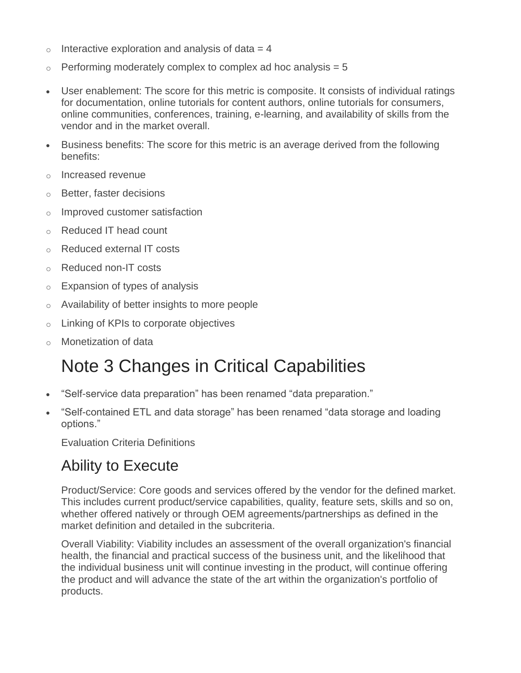- $\circ$  Interactive exploration and analysis of data = 4
- $\circ$  Performing moderately complex to complex ad hoc analysis = 5
- User enablement: The score for this metric is composite. It consists of individual ratings for documentation, online tutorials for content authors, online tutorials for consumers, online communities, conferences, training, e-learning, and availability of skills from the vendor and in the market overall.
- Business benefits: The score for this metric is an average derived from the following benefits:
- o Increased revenue
- o Better, faster decisions
- o Improved customer satisfaction
- o Reduced IT head count
- o Reduced external IT costs
- o Reduced non-IT costs
- $\circ$  Expansion of types of analysis
- o Availability of better insights to more people
- o Linking of KPIs to corporate objectives
- Monetization of data

## Note 3 Changes in Critical Capabilities

- "Self-service data preparation" has been renamed "data preparation."
- "Self-contained ETL and data storage" has been renamed "data storage and loading options."

Evaluation Criteria Definitions

## Ability to Execute

Product/Service: Core goods and services offered by the vendor for the defined market. This includes current product/service capabilities, quality, feature sets, skills and so on, whether offered natively or through OEM agreements/partnerships as defined in the market definition and detailed in the subcriteria.

Overall Viability: Viability includes an assessment of the overall organization's financial health, the financial and practical success of the business unit, and the likelihood that the individual business unit will continue investing in the product, will continue offering the product and will advance the state of the art within the organization's portfolio of products.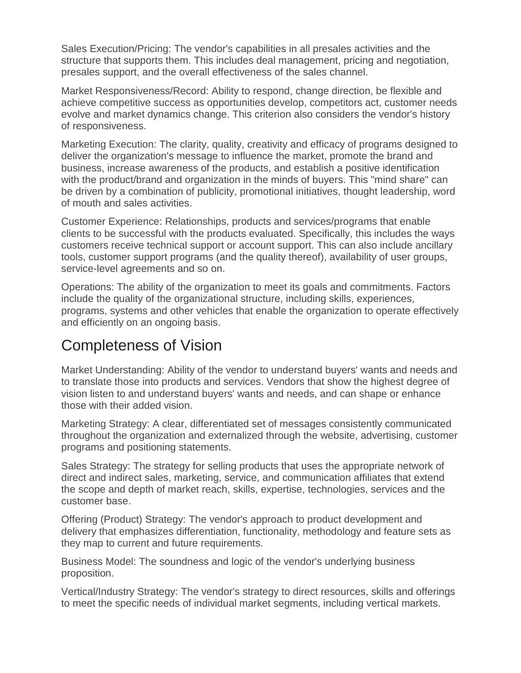Sales Execution/Pricing: The vendor's capabilities in all presales activities and the structure that supports them. This includes deal management, pricing and negotiation, presales support, and the overall effectiveness of the sales channel.

Market Responsiveness/Record: Ability to respond, change direction, be flexible and achieve competitive success as opportunities develop, competitors act, customer needs evolve and market dynamics change. This criterion also considers the vendor's history of responsiveness.

Marketing Execution: The clarity, quality, creativity and efficacy of programs designed to deliver the organization's message to influence the market, promote the brand and business, increase awareness of the products, and establish a positive identification with the product/brand and organization in the minds of buyers. This "mind share" can be driven by a combination of publicity, promotional initiatives, thought leadership, word of mouth and sales activities.

Customer Experience: Relationships, products and services/programs that enable clients to be successful with the products evaluated. Specifically, this includes the ways customers receive technical support or account support. This can also include ancillary tools, customer support programs (and the quality thereof), availability of user groups, service-level agreements and so on.

Operations: The ability of the organization to meet its goals and commitments. Factors include the quality of the organizational structure, including skills, experiences, programs, systems and other vehicles that enable the organization to operate effectively and efficiently on an ongoing basis.

## Completeness of Vision

Market Understanding: Ability of the vendor to understand buyers' wants and needs and to translate those into products and services. Vendors that show the highest degree of vision listen to and understand buyers' wants and needs, and can shape or enhance those with their added vision.

Marketing Strategy: A clear, differentiated set of messages consistently communicated throughout the organization and externalized through the website, advertising, customer programs and positioning statements.

Sales Strategy: The strategy for selling products that uses the appropriate network of direct and indirect sales, marketing, service, and communication affiliates that extend the scope and depth of market reach, skills, expertise, technologies, services and the customer base.

Offering (Product) Strategy: The vendor's approach to product development and delivery that emphasizes differentiation, functionality, methodology and feature sets as they map to current and future requirements.

Business Model: The soundness and logic of the vendor's underlying business proposition.

Vertical/Industry Strategy: The vendor's strategy to direct resources, skills and offerings to meet the specific needs of individual market segments, including vertical markets.